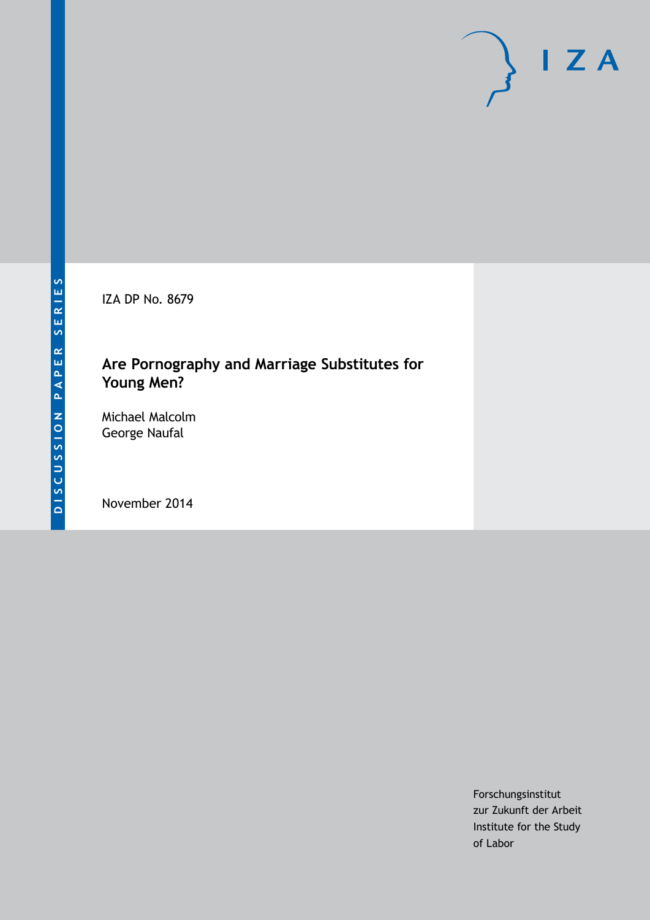IZA DP No. 8679

# **Are Pornography and Marriage Substitutes for Young Men?**

Michael Malcolm George Naufal

November 2014

Forschungsinstitut zur Zukunft der Arbeit Institute for the Study of Labor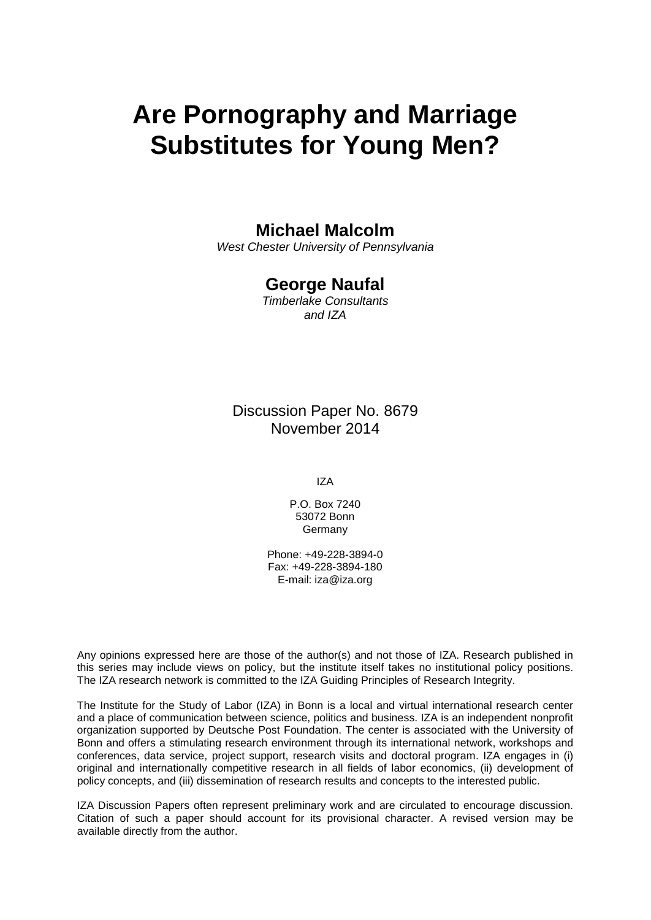# **Are Pornography and Marriage Substitutes for Young Men?**

### **Michael Malcolm**

*West Chester University of Pennsylvania*

# **George Naufal**

*Timberlake Consultants and IZA*

Discussion Paper No. 8679 November 2014

IZA

P.O. Box 7240 53072 Bonn Germany

Phone: +49-228-3894-0 Fax: +49-228-3894-180 E-mail: [iza@iza.org](mailto:iza@iza.org)

Any opinions expressed here are those of the author(s) and not those of IZA. Research published in this series may include views on policy, but the institute itself takes no institutional policy positions. The IZA research network is committed to the IZA Guiding Principles of Research Integrity.

The Institute for the Study of Labor (IZA) in Bonn is a local and virtual international research center and a place of communication between science, politics and business. IZA is an independent nonprofit organization supported by Deutsche Post Foundation. The center is associated with the University of Bonn and offers a stimulating research environment through its international network, workshops and conferences, data service, project support, research visits and doctoral program. IZA engages in (i) original and internationally competitive research in all fields of labor economics, (ii) development of policy concepts, and (iii) dissemination of research results and concepts to the interested public.

IZA Discussion Papers often represent preliminary work and are circulated to encourage discussion. Citation of such a paper should account for its provisional character. A revised version may be available directly from the author.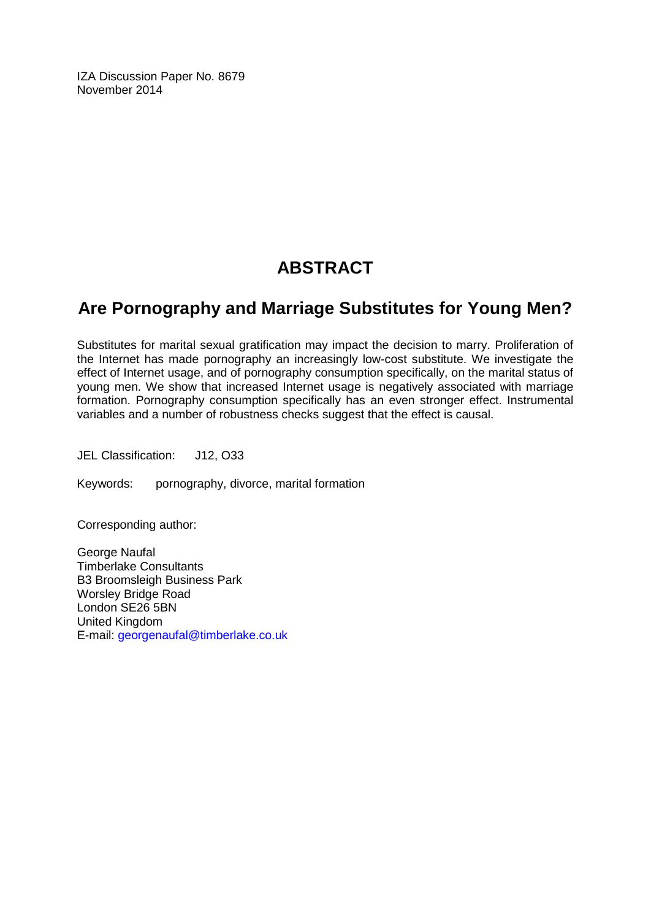IZA Discussion Paper No. 8679 November 2014

# **ABSTRACT**

# **Are Pornography and Marriage Substitutes for Young Men?**

Substitutes for marital sexual gratification may impact the decision to marry. Proliferation of the Internet has made pornography an increasingly low-cost substitute. We investigate the effect of Internet usage, and of pornography consumption specifically, on the marital status of young men. We show that increased Internet usage is negatively associated with marriage formation. Pornography consumption specifically has an even stronger effect. Instrumental variables and a number of robustness checks suggest that the effect is causal.

JEL Classification: J12, O33

Keywords: pornography, divorce, marital formation

Corresponding author:

George Naufal Timberlake Consultants B3 Broomsleigh Business Park Worsley Bridge Road London SE26 5BN United Kingdom E-mail: [georgenaufal@timberlake.co.uk](mailto:georgenaufal@timberlake.co.uk)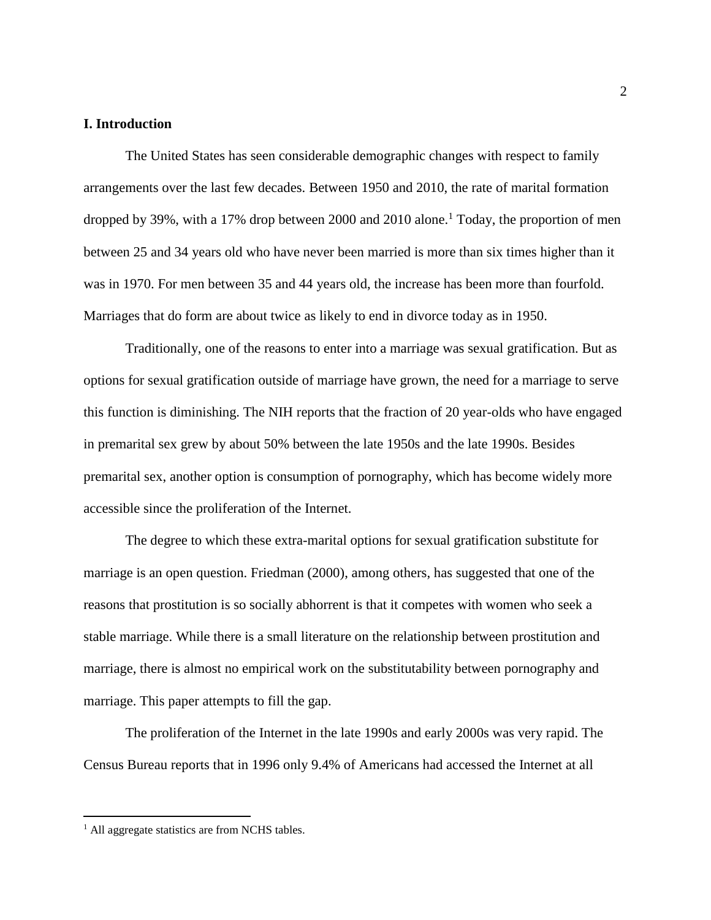### **I. Introduction**

The United States has seen considerable demographic changes with respect to family arrangements over the last few decades. Between 1950 and 2010, the rate of marital formation dropped by 39%, with a 17% drop between 2000 and 2010 alone.<sup>1</sup> Today, the proportion of men between 25 and 34 years old who have never been married is more than six times higher than it was in 1970. For men between 35 and 44 years old, the increase has been more than fourfold. Marriages that do form are about twice as likely to end in divorce today as in 1950.

Traditionally, one of the reasons to enter into a marriage was sexual gratification. But as options for sexual gratification outside of marriage have grown, the need for a marriage to serve this function is diminishing. The NIH reports that the fraction of 20 year-olds who have engaged in premarital sex grew by about 50% between the late 1950s and the late 1990s. Besides premarital sex, another option is consumption of pornography, which has become widely more accessible since the proliferation of the Internet.

The degree to which these extra-marital options for sexual gratification substitute for marriage is an open question. Friedman (2000), among others, has suggested that one of the reasons that prostitution is so socially abhorrent is that it competes with women who seek a stable marriage. While there is a small literature on the relationship between prostitution and marriage, there is almost no empirical work on the substitutability between pornography and marriage. This paper attempts to fill the gap.

The proliferation of the Internet in the late 1990s and early 2000s was very rapid. The Census Bureau reports that in 1996 only 9.4% of Americans had accessed the Internet at all

<sup>&</sup>lt;sup>1</sup> All aggregate statistics are from NCHS tables.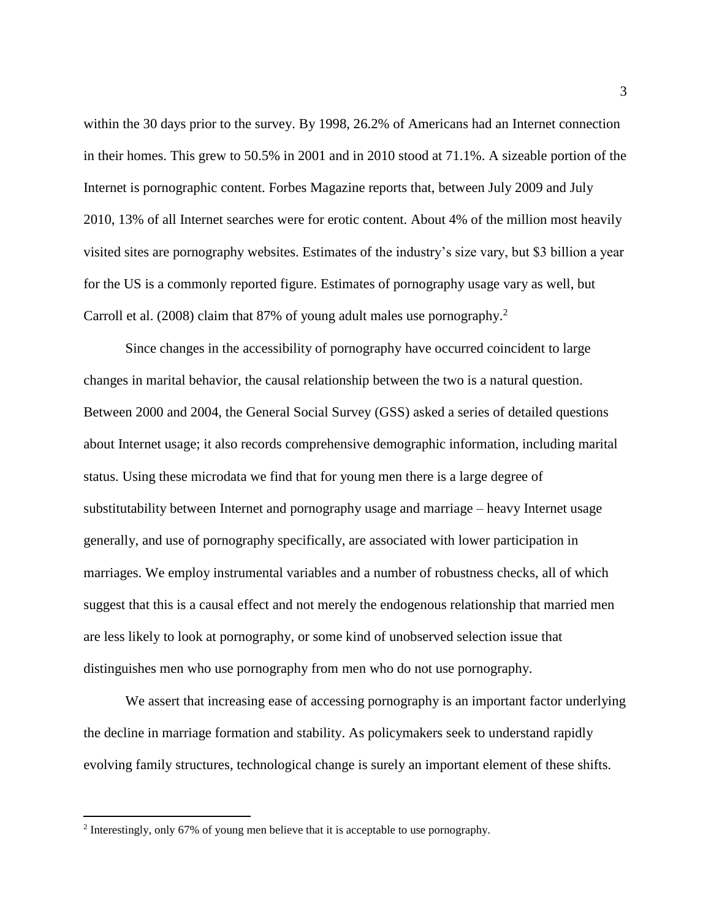within the 30 days prior to the survey. By 1998, 26.2% of Americans had an Internet connection in their homes. This grew to 50.5% in 2001 and in 2010 stood at 71.1%. A sizeable portion of the Internet is pornographic content. Forbes Magazine reports that, between July 2009 and July 2010, 13% of all Internet searches were for erotic content. About 4% of the million most heavily visited sites are pornography websites. Estimates of the industry's size vary, but \$3 billion a year for the US is a commonly reported figure. Estimates of pornography usage vary as well, but Carroll et al. (2008) claim that 87% of young adult males use pornography.<sup>2</sup>

Since changes in the accessibility of pornography have occurred coincident to large changes in marital behavior, the causal relationship between the two is a natural question. Between 2000 and 2004, the General Social Survey (GSS) asked a series of detailed questions about Internet usage; it also records comprehensive demographic information, including marital status. Using these microdata we find that for young men there is a large degree of substitutability between Internet and pornography usage and marriage – heavy Internet usage generally, and use of pornography specifically, are associated with lower participation in marriages. We employ instrumental variables and a number of robustness checks, all of which suggest that this is a causal effect and not merely the endogenous relationship that married men are less likely to look at pornography, or some kind of unobserved selection issue that distinguishes men who use pornography from men who do not use pornography.

We assert that increasing ease of accessing pornography is an important factor underlying the decline in marriage formation and stability. As policymakers seek to understand rapidly evolving family structures, technological change is surely an important element of these shifts.

<sup>&</sup>lt;sup>2</sup> Interestingly, only 67% of young men believe that it is acceptable to use pornography.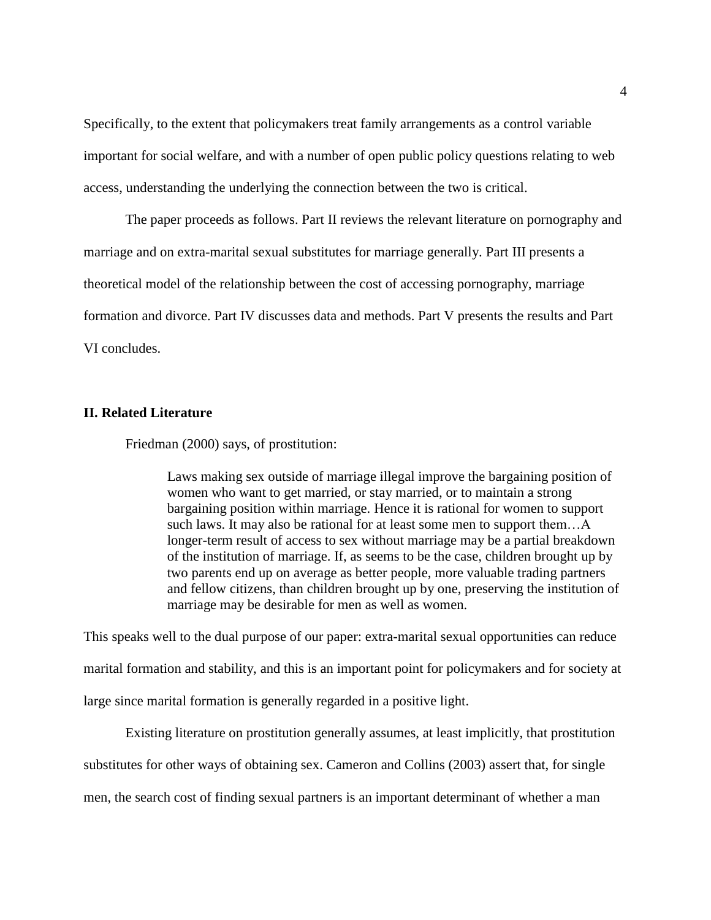Specifically, to the extent that policymakers treat family arrangements as a control variable important for social welfare, and with a number of open public policy questions relating to web access, understanding the underlying the connection between the two is critical.

The paper proceeds as follows. Part II reviews the relevant literature on pornography and marriage and on extra-marital sexual substitutes for marriage generally. Part III presents a theoretical model of the relationship between the cost of accessing pornography, marriage formation and divorce. Part IV discusses data and methods. Part V presents the results and Part VI concludes.

### **II. Related Literature**

Friedman (2000) says, of prostitution:

Laws making sex outside of marriage illegal improve the bargaining position of women who want to get married, or stay married, or to maintain a strong bargaining position within marriage. Hence it is rational for women to support such laws. It may also be rational for at least some men to support them…A longer-term result of access to sex without marriage may be a partial breakdown of the institution of marriage. If, as seems to be the case, children brought up by two parents end up on average as better people, more valuable trading partners and fellow citizens, than children brought up by one, preserving the institution of marriage may be desirable for men as well as women.

This speaks well to the dual purpose of our paper: extra-marital sexual opportunities can reduce marital formation and stability, and this is an important point for policymakers and for society at large since marital formation is generally regarded in a positive light.

Existing literature on prostitution generally assumes, at least implicitly, that prostitution substitutes for other ways of obtaining sex. Cameron and Collins (2003) assert that, for single men, the search cost of finding sexual partners is an important determinant of whether a man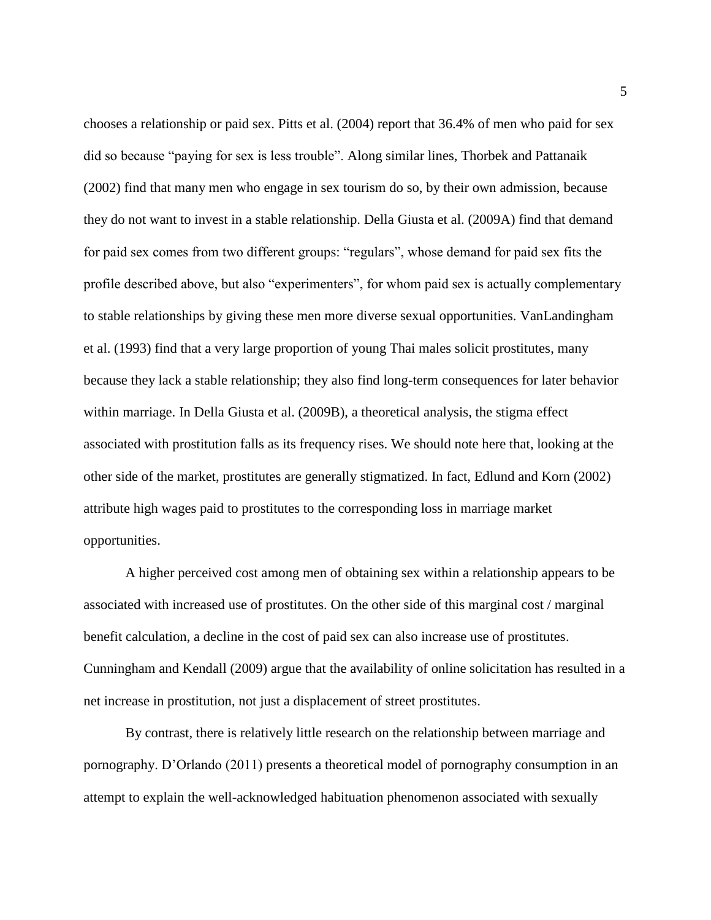chooses a relationship or paid sex. Pitts et al. (2004) report that 36.4% of men who paid for sex did so because "paying for sex is less trouble". Along similar lines, Thorbek and Pattanaik (2002) find that many men who engage in sex tourism do so, by their own admission, because they do not want to invest in a stable relationship. Della Giusta et al. (2009A) find that demand for paid sex comes from two different groups: "regulars", whose demand for paid sex fits the profile described above, but also "experimenters", for whom paid sex is actually complementary to stable relationships by giving these men more diverse sexual opportunities. VanLandingham et al. (1993) find that a very large proportion of young Thai males solicit prostitutes, many because they lack a stable relationship; they also find long-term consequences for later behavior within marriage. In Della Giusta et al. (2009B), a theoretical analysis, the stigma effect associated with prostitution falls as its frequency rises. We should note here that, looking at the other side of the market, prostitutes are generally stigmatized. In fact, Edlund and Korn (2002) attribute high wages paid to prostitutes to the corresponding loss in marriage market opportunities.

A higher perceived cost among men of obtaining sex within a relationship appears to be associated with increased use of prostitutes. On the other side of this marginal cost / marginal benefit calculation, a decline in the cost of paid sex can also increase use of prostitutes. Cunningham and Kendall (2009) argue that the availability of online solicitation has resulted in a net increase in prostitution, not just a displacement of street prostitutes.

By contrast, there is relatively little research on the relationship between marriage and pornography. D'Orlando (2011) presents a theoretical model of pornography consumption in an attempt to explain the well-acknowledged habituation phenomenon associated with sexually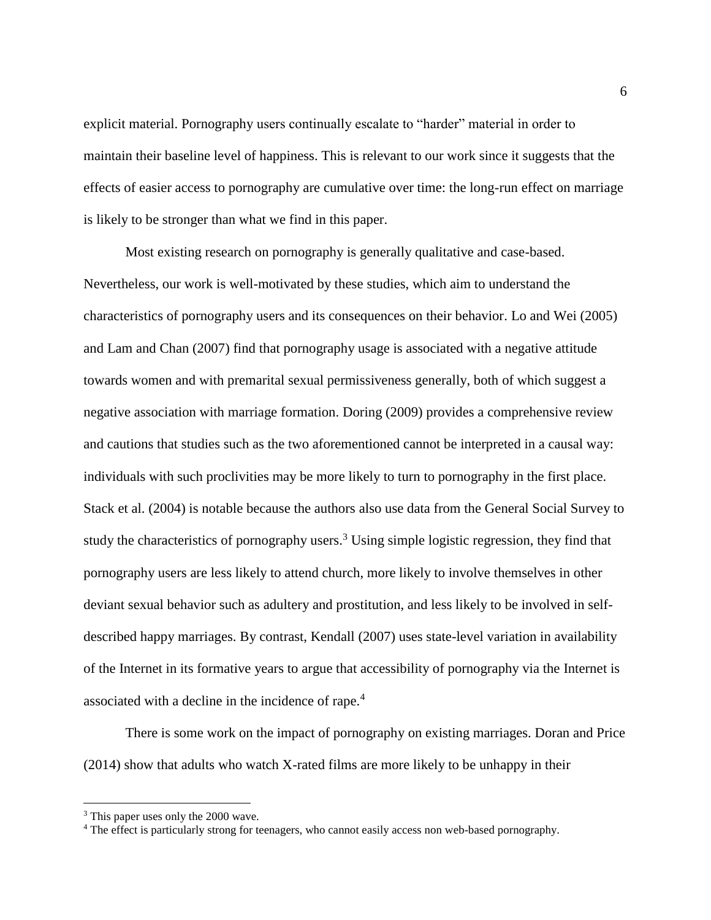explicit material. Pornography users continually escalate to "harder" material in order to maintain their baseline level of happiness. This is relevant to our work since it suggests that the effects of easier access to pornography are cumulative over time: the long-run effect on marriage is likely to be stronger than what we find in this paper.

Most existing research on pornography is generally qualitative and case-based. Nevertheless, our work is well-motivated by these studies, which aim to understand the characteristics of pornography users and its consequences on their behavior. Lo and Wei (2005) and Lam and Chan (2007) find that pornography usage is associated with a negative attitude towards women and with premarital sexual permissiveness generally, both of which suggest a negative association with marriage formation. Doring (2009) provides a comprehensive review and cautions that studies such as the two aforementioned cannot be interpreted in a causal way: individuals with such proclivities may be more likely to turn to pornography in the first place. Stack et al. (2004) is notable because the authors also use data from the General Social Survey to study the characteristics of pornography users.<sup>3</sup> Using simple logistic regression, they find that pornography users are less likely to attend church, more likely to involve themselves in other deviant sexual behavior such as adultery and prostitution, and less likely to be involved in selfdescribed happy marriages. By contrast, Kendall (2007) uses state-level variation in availability of the Internet in its formative years to argue that accessibility of pornography via the Internet is associated with a decline in the incidence of rape.<sup>4</sup>

There is some work on the impact of pornography on existing marriages. Doran and Price (2014) show that adults who watch X-rated films are more likely to be unhappy in their

<sup>&</sup>lt;sup>3</sup> This paper uses only the 2000 wave.

<sup>4</sup> The effect is particularly strong for teenagers, who cannot easily access non web-based pornography.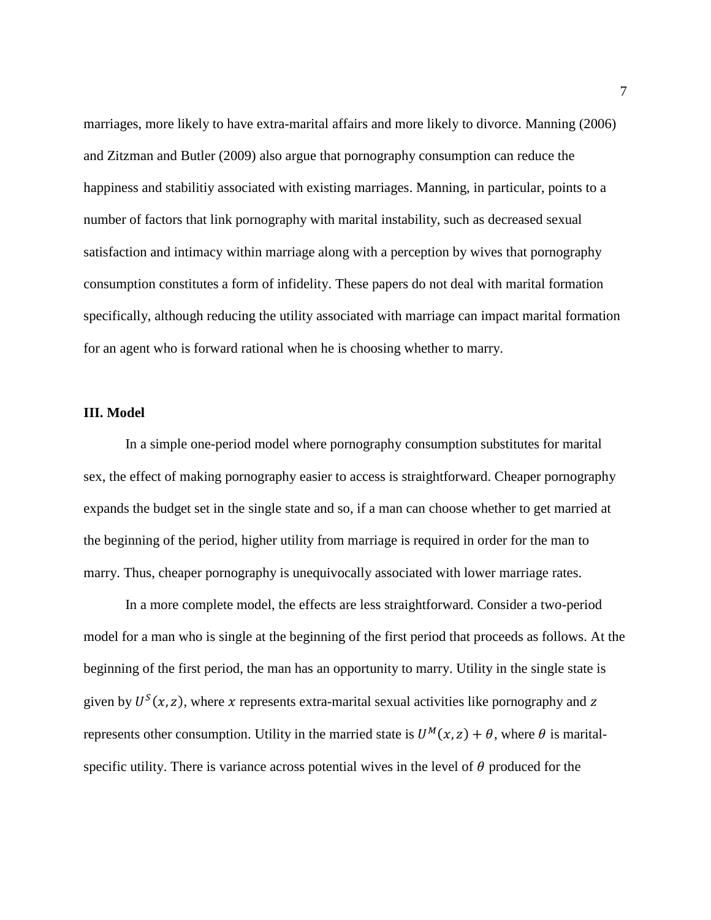marriages, more likely to have extra-marital affairs and more likely to divorce. Manning (2006) and Zitzman and Butler (2009) also argue that pornography consumption can reduce the happiness and stabilitiy associated with existing marriages. Manning, in particular, points to a number of factors that link pornography with marital instability, such as decreased sexual satisfaction and intimacy within marriage along with a perception by wives that pornography consumption constitutes a form of infidelity. These papers do not deal with marital formation specifically, although reducing the utility associated with marriage can impact marital formation for an agent who is forward rational when he is choosing whether to marry.

#### **III. Model**

In a simple one-period model where pornography consumption substitutes for marital sex, the effect of making pornography easier to access is straightforward. Cheaper pornography expands the budget set in the single state and so, if a man can choose whether to get married at the beginning of the period, higher utility from marriage is required in order for the man to marry. Thus, cheaper pornography is unequivocally associated with lower marriage rates.

In a more complete model, the effects are less straightforward. Consider a two-period model for a man who is single at the beginning of the first period that proceeds as follows. At the beginning of the first period, the man has an opportunity to marry. Utility in the single state is given by  $U^{S}(x, z)$ , where x represents extra-marital sexual activities like pornography and z represents other consumption. Utility in the married state is  $U^M(x, z) + \theta$ , where  $\theta$  is maritalspecific utility. There is variance across potential wives in the level of  $\theta$  produced for the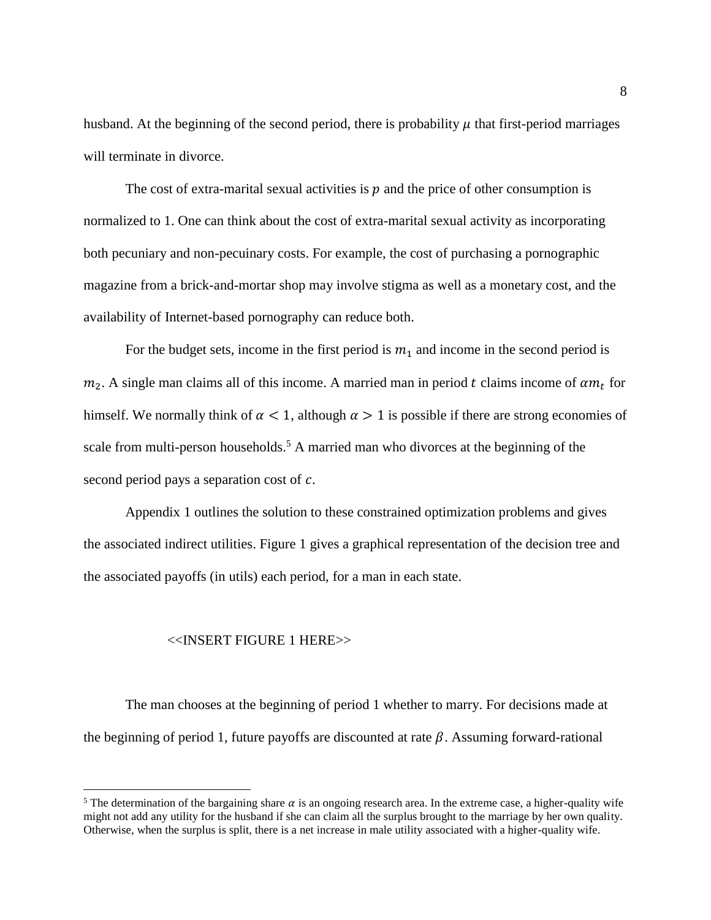husband. At the beginning of the second period, there is probability  $\mu$  that first-period marriages will terminate in divorce.

The cost of extra-marital sexual activities is  $p$  and the price of other consumption is normalized to 1. One can think about the cost of extra-marital sexual activity as incorporating both pecuniary and non-pecuinary costs. For example, the cost of purchasing a pornographic magazine from a brick-and-mortar shop may involve stigma as well as a monetary cost, and the availability of Internet-based pornography can reduce both.

For the budget sets, income in the first period is  $m_1$  and income in the second period is  $m_2$ . A single man claims all of this income. A married man in period t claims income of  $\alpha m_t$  for himself. We normally think of  $\alpha < 1$ , although  $\alpha > 1$  is possible if there are strong economies of scale from multi-person households.<sup>5</sup> A married man who divorces at the beginning of the second period pays a separation cost of  $c$ .

Appendix 1 outlines the solution to these constrained optimization problems and gives the associated indirect utilities. Figure 1 gives a graphical representation of the decision tree and the associated payoffs (in utils) each period, for a man in each state.

#### <<INSERT FIGURE 1 HERE>>

 $\overline{a}$ 

The man chooses at the beginning of period 1 whether to marry. For decisions made at the beginning of period 1, future payoffs are discounted at rate  $\beta$ . Assuming forward-rational

<sup>&</sup>lt;sup>5</sup> The determination of the bargaining share  $\alpha$  is an ongoing research area. In the extreme case, a higher-quality wife might not add any utility for the husband if she can claim all the surplus brought to the marriage by her own quality. Otherwise, when the surplus is split, there is a net increase in male utility associated with a higher-quality wife.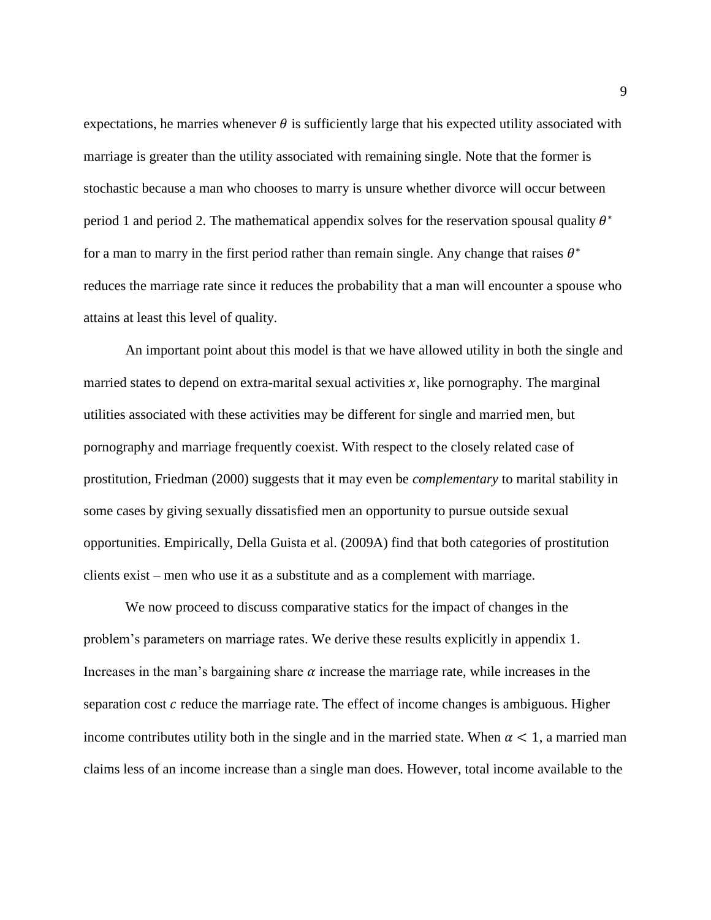expectations, he marries whenever  $\theta$  is sufficiently large that his expected utility associated with marriage is greater than the utility associated with remaining single. Note that the former is stochastic because a man who chooses to marry is unsure whether divorce will occur between period 1 and period 2. The mathematical appendix solves for the reservation spousal quality  $\theta^*$ for a man to marry in the first period rather than remain single. Any change that raises  $\theta^*$ reduces the marriage rate since it reduces the probability that a man will encounter a spouse who attains at least this level of quality.

An important point about this model is that we have allowed utility in both the single and married states to depend on extra-marital sexual activities  $x$ , like pornography. The marginal utilities associated with these activities may be different for single and married men, but pornography and marriage frequently coexist. With respect to the closely related case of prostitution, Friedman (2000) suggests that it may even be *complementary* to marital stability in some cases by giving sexually dissatisfied men an opportunity to pursue outside sexual opportunities. Empirically, Della Guista et al. (2009A) find that both categories of prostitution clients exist – men who use it as a substitute and as a complement with marriage.

We now proceed to discuss comparative statics for the impact of changes in the problem's parameters on marriage rates. We derive these results explicitly in appendix 1. Increases in the man's bargaining share  $\alpha$  increase the marriage rate, while increases in the separation cost  $c$  reduce the marriage rate. The effect of income changes is ambiguous. Higher income contributes utility both in the single and in the married state. When  $\alpha < 1$ , a married man claims less of an income increase than a single man does. However, total income available to the

9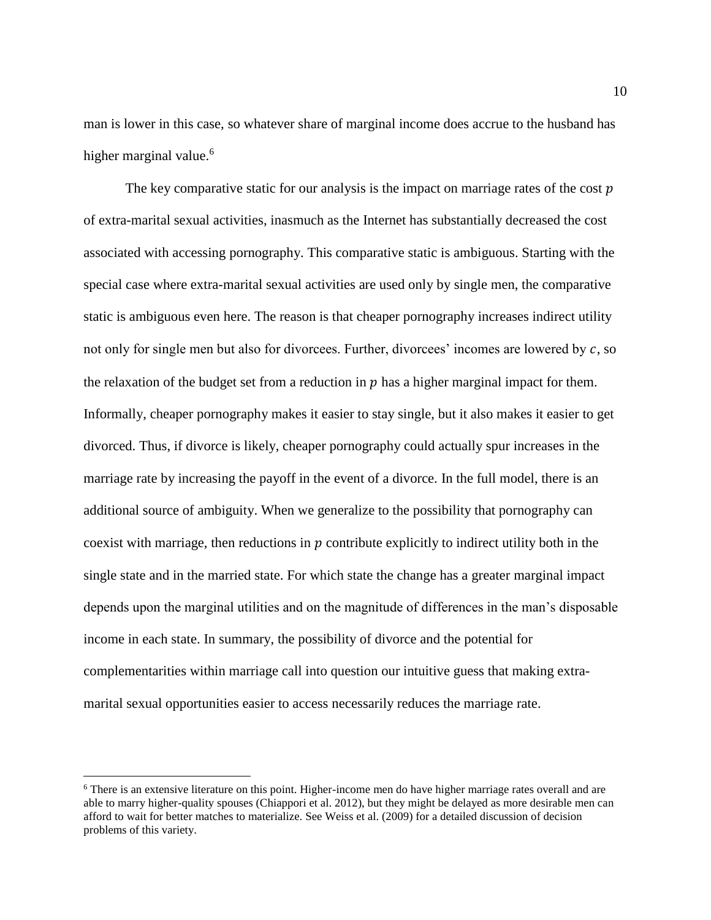man is lower in this case, so whatever share of marginal income does accrue to the husband has higher marginal value.<sup>6</sup>

The key comparative static for our analysis is the impact on marriage rates of the cost  $p$ of extra-marital sexual activities, inasmuch as the Internet has substantially decreased the cost associated with accessing pornography. This comparative static is ambiguous. Starting with the special case where extra-marital sexual activities are used only by single men, the comparative static is ambiguous even here. The reason is that cheaper pornography increases indirect utility not only for single men but also for divorcees. Further, divorcees' incomes are lowered by  $c$ , so the relaxation of the budget set from a reduction in  $p$  has a higher marginal impact for them. Informally, cheaper pornography makes it easier to stay single, but it also makes it easier to get divorced. Thus, if divorce is likely, cheaper pornography could actually spur increases in the marriage rate by increasing the payoff in the event of a divorce. In the full model, there is an additional source of ambiguity. When we generalize to the possibility that pornography can coexist with marriage, then reductions in  $p$  contribute explicitly to indirect utility both in the single state and in the married state. For which state the change has a greater marginal impact depends upon the marginal utilities and on the magnitude of differences in the man's disposable income in each state. In summary, the possibility of divorce and the potential for complementarities within marriage call into question our intuitive guess that making extramarital sexual opportunities easier to access necessarily reduces the marriage rate.

<sup>6</sup> There is an extensive literature on this point. Higher-income men do have higher marriage rates overall and are able to marry higher-quality spouses (Chiappori et al. 2012), but they might be delayed as more desirable men can afford to wait for better matches to materialize. See Weiss et al. (2009) for a detailed discussion of decision problems of this variety.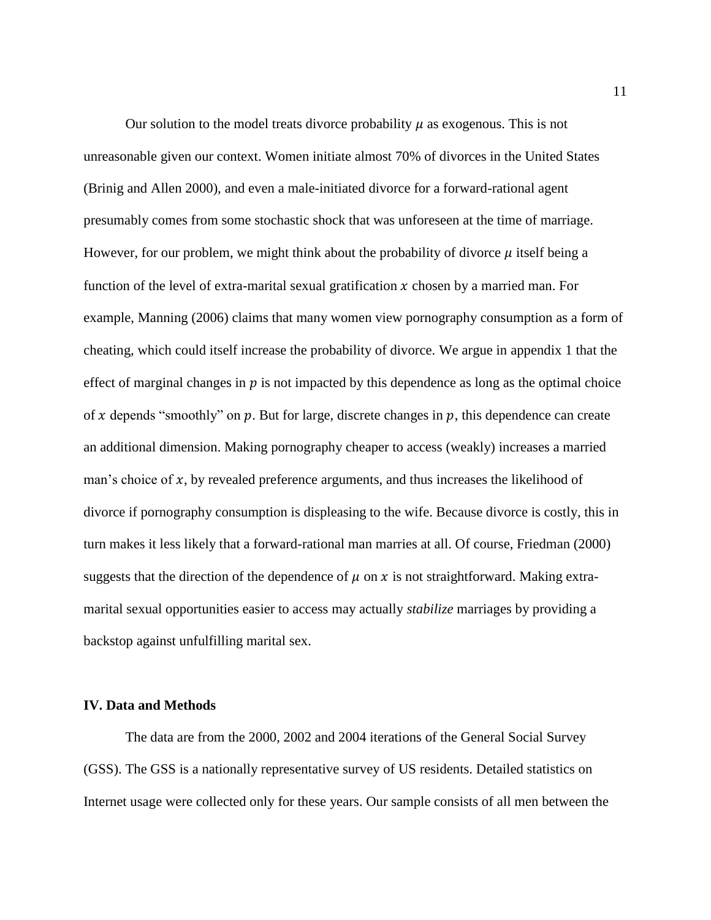Our solution to the model treats divorce probability  $\mu$  as exogenous. This is not unreasonable given our context. Women initiate almost 70% of divorces in the United States (Brinig and Allen 2000), and even a male-initiated divorce for a forward-rational agent presumably comes from some stochastic shock that was unforeseen at the time of marriage. However, for our problem, we might think about the probability of divorce  $\mu$  itself being a function of the level of extra-marital sexual gratification  $x$  chosen by a married man. For example, Manning (2006) claims that many women view pornography consumption as a form of cheating, which could itself increase the probability of divorce. We argue in appendix 1 that the effect of marginal changes in  $p$  is not impacted by this dependence as long as the optimal choice of x depends "smoothly" on  $p$ . But for large, discrete changes in  $p$ , this dependence can create an additional dimension. Making pornography cheaper to access (weakly) increases a married man's choice of  $x$ , by revealed preference arguments, and thus increases the likelihood of divorce if pornography consumption is displeasing to the wife. Because divorce is costly, this in turn makes it less likely that a forward-rational man marries at all. Of course, Friedman (2000) suggests that the direction of the dependence of  $\mu$  on  $\chi$  is not straightforward. Making extramarital sexual opportunities easier to access may actually *stabilize* marriages by providing a backstop against unfulfilling marital sex.

### **IV. Data and Methods**

The data are from the 2000, 2002 and 2004 iterations of the General Social Survey (GSS). The GSS is a nationally representative survey of US residents. Detailed statistics on Internet usage were collected only for these years. Our sample consists of all men between the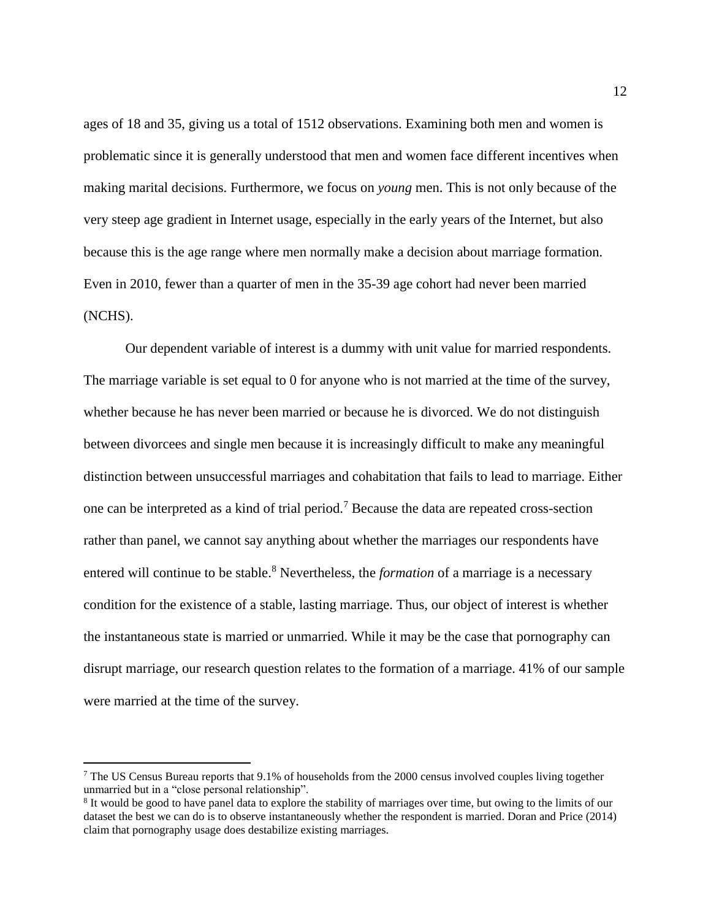ages of 18 and 35, giving us a total of 1512 observations. Examining both men and women is problematic since it is generally understood that men and women face different incentives when making marital decisions. Furthermore, we focus on *young* men. This is not only because of the very steep age gradient in Internet usage, especially in the early years of the Internet, but also because this is the age range where men normally make a decision about marriage formation. Even in 2010, fewer than a quarter of men in the 35-39 age cohort had never been married (NCHS).

Our dependent variable of interest is a dummy with unit value for married respondents. The marriage variable is set equal to 0 for anyone who is not married at the time of the survey, whether because he has never been married or because he is divorced. We do not distinguish between divorcees and single men because it is increasingly difficult to make any meaningful distinction between unsuccessful marriages and cohabitation that fails to lead to marriage. Either one can be interpreted as a kind of trial period.<sup>7</sup> Because the data are repeated cross-section rather than panel, we cannot say anything about whether the marriages our respondents have entered will continue to be stable.<sup>8</sup> Nevertheless, the *formation* of a marriage is a necessary condition for the existence of a stable, lasting marriage. Thus, our object of interest is whether the instantaneous state is married or unmarried. While it may be the case that pornography can disrupt marriage, our research question relates to the formation of a marriage. 41% of our sample were married at the time of the survey.

<sup>&</sup>lt;sup>7</sup> The US Census Bureau reports that 9.1% of households from the 2000 census involved couples living together unmarried but in a "close personal relationship".

<sup>&</sup>lt;sup>8</sup> It would be good to have panel data to explore the stability of marriages over time, but owing to the limits of our dataset the best we can do is to observe instantaneously whether the respondent is married. Doran and Price (2014) claim that pornography usage does destabilize existing marriages.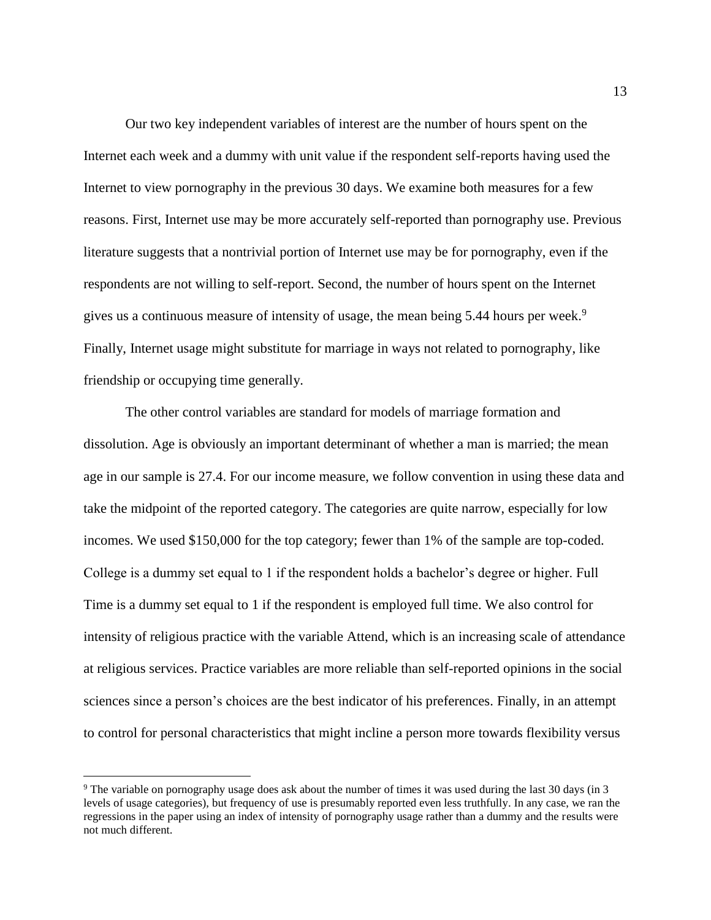Our two key independent variables of interest are the number of hours spent on the Internet each week and a dummy with unit value if the respondent self-reports having used the Internet to view pornography in the previous 30 days. We examine both measures for a few reasons. First, Internet use may be more accurately self-reported than pornography use. Previous literature suggests that a nontrivial portion of Internet use may be for pornography, even if the respondents are not willing to self-report. Second, the number of hours spent on the Internet gives us a continuous measure of intensity of usage, the mean being 5.44 hours per week.<sup>9</sup> Finally, Internet usage might substitute for marriage in ways not related to pornography, like friendship or occupying time generally.

The other control variables are standard for models of marriage formation and dissolution. Age is obviously an important determinant of whether a man is married; the mean age in our sample is 27.4. For our income measure, we follow convention in using these data and take the midpoint of the reported category. The categories are quite narrow, especially for low incomes. We used \$150,000 for the top category; fewer than 1% of the sample are top-coded. College is a dummy set equal to 1 if the respondent holds a bachelor's degree or higher. Full Time is a dummy set equal to 1 if the respondent is employed full time. We also control for intensity of religious practice with the variable Attend, which is an increasing scale of attendance at religious services. Practice variables are more reliable than self-reported opinions in the social sciences since a person's choices are the best indicator of his preferences. Finally, in an attempt to control for personal characteristics that might incline a person more towards flexibility versus

<sup>&</sup>lt;sup>9</sup> The variable on pornography usage does ask about the number of times it was used during the last 30 days (in 3 levels of usage categories), but frequency of use is presumably reported even less truthfully. In any case, we ran the regressions in the paper using an index of intensity of pornography usage rather than a dummy and the results were not much different.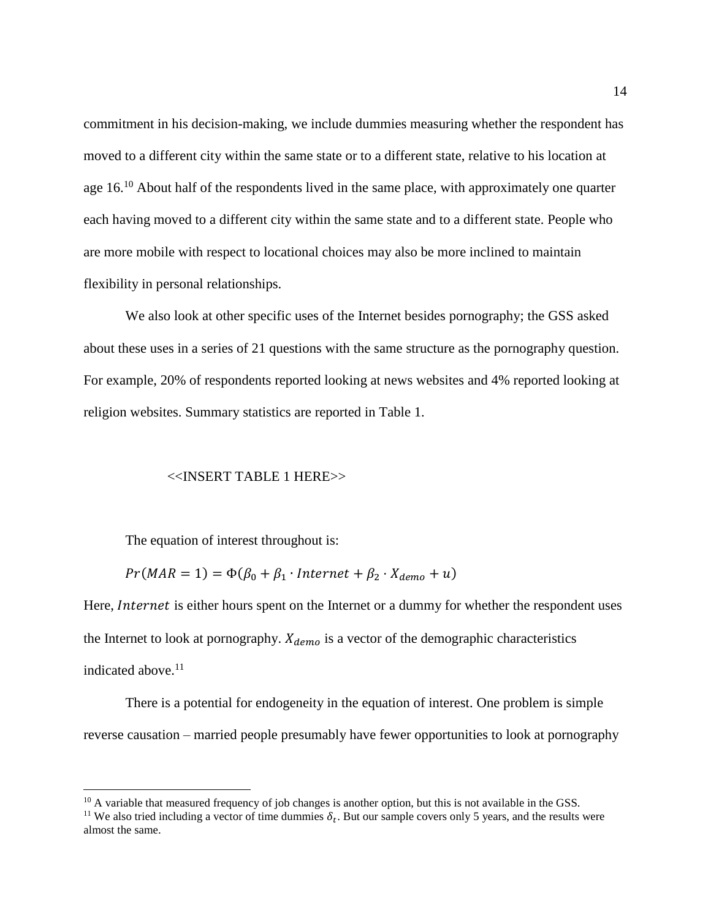commitment in his decision-making, we include dummies measuring whether the respondent has moved to a different city within the same state or to a different state, relative to his location at age  $16<sup>10</sup>$  About half of the respondents lived in the same place, with approximately one quarter each having moved to a different city within the same state and to a different state. People who are more mobile with respect to locational choices may also be more inclined to maintain flexibility in personal relationships.

We also look at other specific uses of the Internet besides pornography; the GSS asked about these uses in a series of 21 questions with the same structure as the pornography question. For example, 20% of respondents reported looking at news websites and 4% reported looking at religion websites. Summary statistics are reported in Table 1.

#### <<INSERT TABLE 1 HERE>>

The equation of interest throughout is:

 $\overline{a}$ 

$$
Pr(MAR = 1) = \Phi(\beta_0 + \beta_1 \cdot Internet + \beta_2 \cdot X_{demo} + u)
$$

Here, *Internet* is either hours spent on the Internet or a dummy for whether the respondent uses the Internet to look at pornography.  $X_{demo}$  is a vector of the demographic characteristics indicated above. 11

There is a potential for endogeneity in the equation of interest. One problem is simple reverse causation – married people presumably have fewer opportunities to look at pornography

<sup>&</sup>lt;sup>10</sup> A variable that measured frequency of job changes is another option, but this is not available in the GSS.

<sup>&</sup>lt;sup>11</sup> We also tried including a vector of time dummies  $\delta_t$ . But our sample covers only 5 years, and the results were almost the same.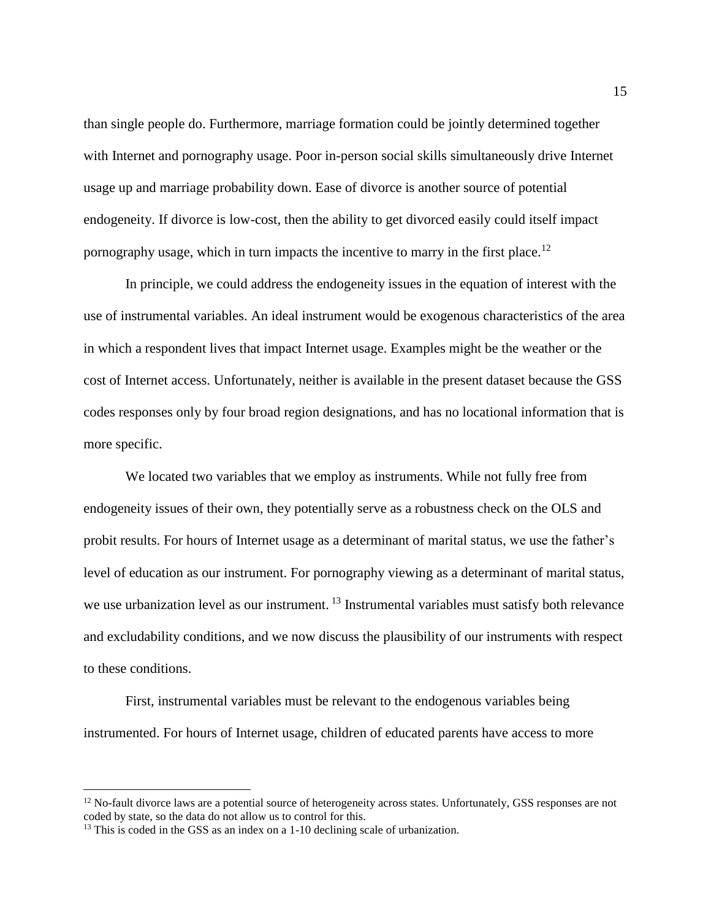than single people do. Furthermore, marriage formation could be jointly determined together with Internet and pornography usage. Poor in-person social skills simultaneously drive Internet usage up and marriage probability down. Ease of divorce is another source of potential endogeneity. If divorce is low-cost, then the ability to get divorced easily could itself impact pornography usage, which in turn impacts the incentive to marry in the first place.<sup>12</sup>

In principle, we could address the endogeneity issues in the equation of interest with the use of instrumental variables. An ideal instrument would be exogenous characteristics of the area in which a respondent lives that impact Internet usage. Examples might be the weather or the cost of Internet access. Unfortunately, neither is available in the present dataset because the GSS codes responses only by four broad region designations, and has no locational information that is more specific.

We located two variables that we employ as instruments. While not fully free from endogeneity issues of their own, they potentially serve as a robustness check on the OLS and probit results. For hours of Internet usage as a determinant of marital status, we use the father's level of education as our instrument. For pornography viewing as a determinant of marital status, we use urbanization level as our instrument.<sup>13</sup> Instrumental variables must satisfy both relevance and excludability conditions, and we now discuss the plausibility of our instruments with respect to these conditions.

First, instrumental variables must be relevant to the endogenous variables being instrumented. For hours of Internet usage, children of educated parents have access to more

 $12$  No-fault divorce laws are a potential source of heterogeneity across states. Unfortunately, GSS responses are not coded by state, so the data do not allow us to control for this.

<sup>&</sup>lt;sup>13</sup> This is coded in the GSS as an index on a 1-10 declining scale of urbanization.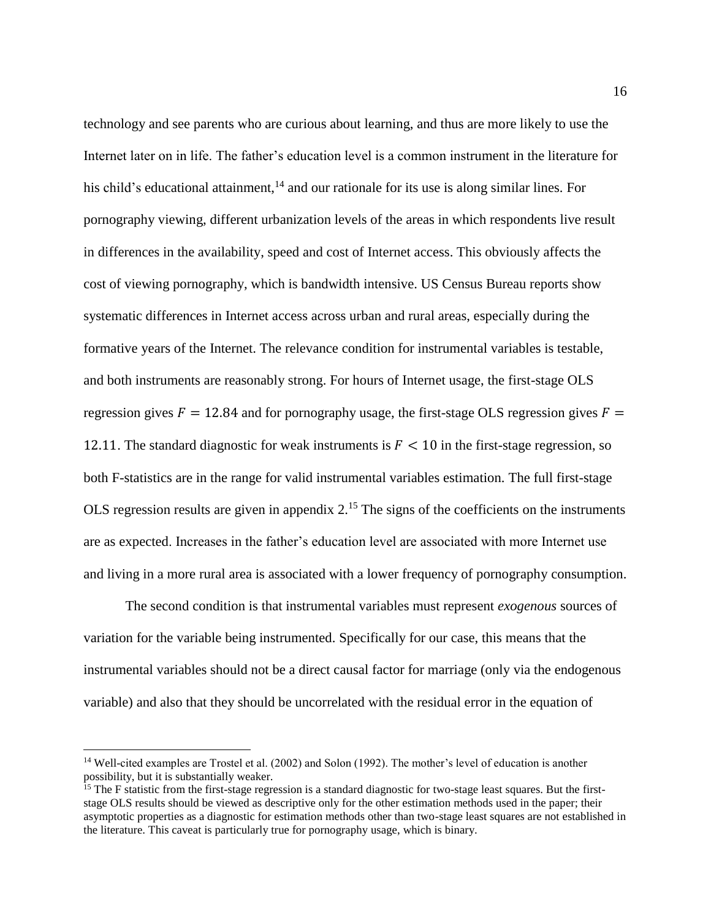technology and see parents who are curious about learning, and thus are more likely to use the Internet later on in life. The father's education level is a common instrument in the literature for his child's educational attainment, $14$  and our rationale for its use is along similar lines. For pornography viewing, different urbanization levels of the areas in which respondents live result in differences in the availability, speed and cost of Internet access. This obviously affects the cost of viewing pornography, which is bandwidth intensive. US Census Bureau reports show systematic differences in Internet access across urban and rural areas, especially during the formative years of the Internet. The relevance condition for instrumental variables is testable, and both instruments are reasonably strong. For hours of Internet usage, the first-stage OLS regression gives  $F = 12.84$  and for pornography usage, the first-stage OLS regression gives  $F =$ 12.11. The standard diagnostic for weak instruments is  $F < 10$  in the first-stage regression, so both F-statistics are in the range for valid instrumental variables estimation. The full first-stage OLS regression results are given in appendix 2.<sup>15</sup> The signs of the coefficients on the instruments are as expected. Increases in the father's education level are associated with more Internet use and living in a more rural area is associated with a lower frequency of pornography consumption.

The second condition is that instrumental variables must represent *exogenous* sources of variation for the variable being instrumented. Specifically for our case, this means that the instrumental variables should not be a direct causal factor for marriage (only via the endogenous variable) and also that they should be uncorrelated with the residual error in the equation of

<sup>&</sup>lt;sup>14</sup> Well-cited examples are Trostel et al. (2002) and Solon (1992). The mother's level of education is another possibility, but it is substantially weaker.

 $^{15}$  The F statistic from the first-stage regression is a standard diagnostic for two-stage least squares. But the firststage OLS results should be viewed as descriptive only for the other estimation methods used in the paper; their asymptotic properties as a diagnostic for estimation methods other than two-stage least squares are not established in the literature. This caveat is particularly true for pornography usage, which is binary.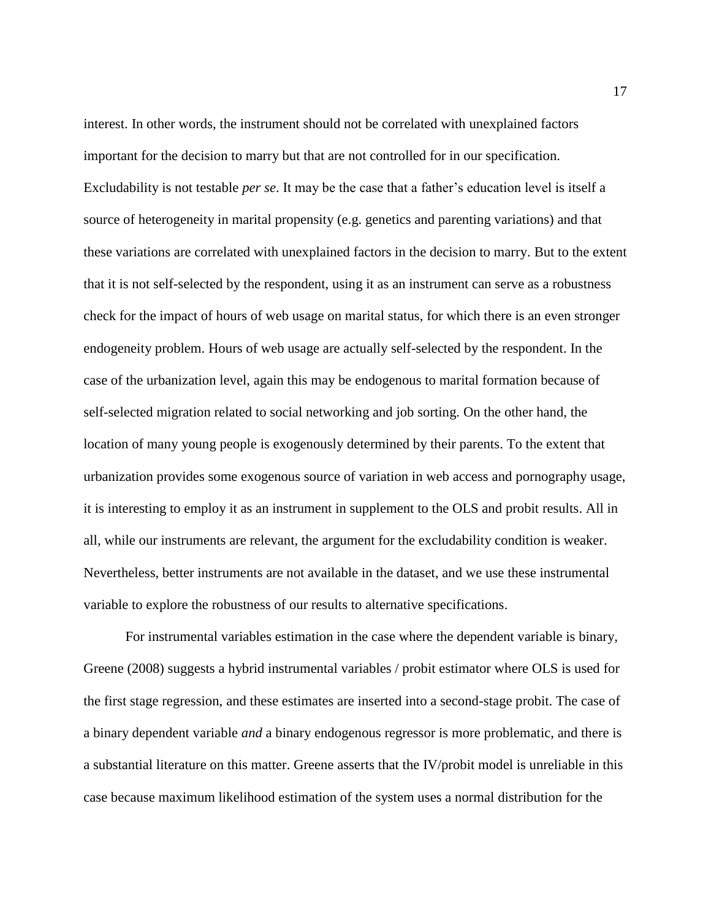interest. In other words, the instrument should not be correlated with unexplained factors important for the decision to marry but that are not controlled for in our specification. Excludability is not testable *per se*. It may be the case that a father's education level is itself a source of heterogeneity in marital propensity (e.g. genetics and parenting variations) and that these variations are correlated with unexplained factors in the decision to marry. But to the extent that it is not self-selected by the respondent, using it as an instrument can serve as a robustness check for the impact of hours of web usage on marital status, for which there is an even stronger endogeneity problem. Hours of web usage are actually self-selected by the respondent. In the case of the urbanization level, again this may be endogenous to marital formation because of self-selected migration related to social networking and job sorting. On the other hand, the location of many young people is exogenously determined by their parents. To the extent that urbanization provides some exogenous source of variation in web access and pornography usage, it is interesting to employ it as an instrument in supplement to the OLS and probit results. All in all, while our instruments are relevant, the argument for the excludability condition is weaker. Nevertheless, better instruments are not available in the dataset, and we use these instrumental variable to explore the robustness of our results to alternative specifications.

For instrumental variables estimation in the case where the dependent variable is binary, Greene (2008) suggests a hybrid instrumental variables / probit estimator where OLS is used for the first stage regression, and these estimates are inserted into a second-stage probit. The case of a binary dependent variable *and* a binary endogenous regressor is more problematic, and there is a substantial literature on this matter. Greene asserts that the IV/probit model is unreliable in this case because maximum likelihood estimation of the system uses a normal distribution for the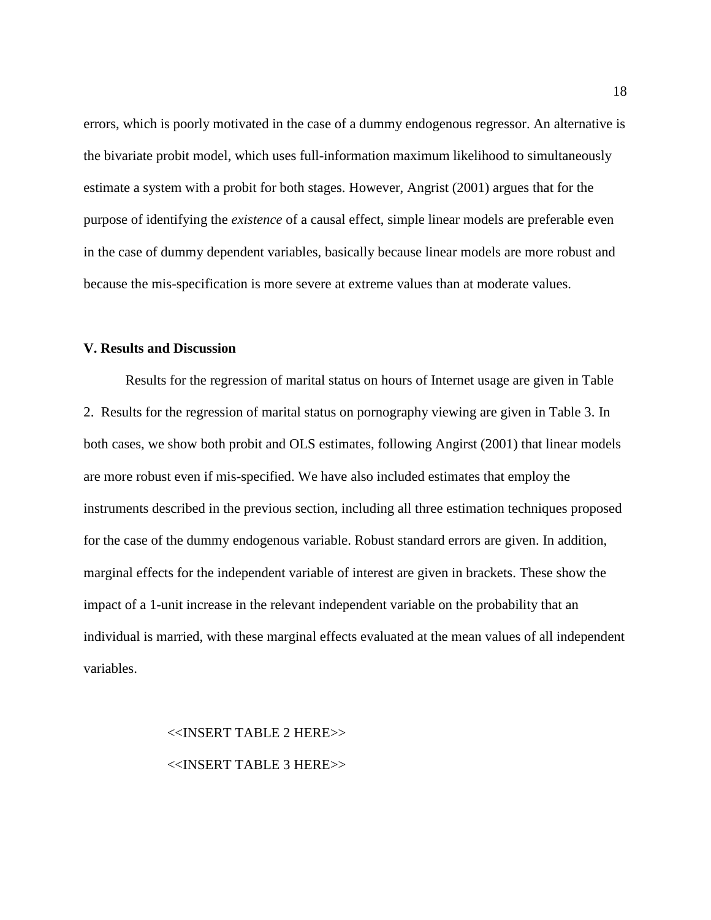errors, which is poorly motivated in the case of a dummy endogenous regressor. An alternative is the bivariate probit model, which uses full-information maximum likelihood to simultaneously estimate a system with a probit for both stages. However, Angrist (2001) argues that for the purpose of identifying the *existence* of a causal effect, simple linear models are preferable even in the case of dummy dependent variables, basically because linear models are more robust and because the mis-specification is more severe at extreme values than at moderate values.

### **V. Results and Discussion**

Results for the regression of marital status on hours of Internet usage are given in Table 2. Results for the regression of marital status on pornography viewing are given in Table 3. In both cases, we show both probit and OLS estimates, following Angirst (2001) that linear models are more robust even if mis-specified. We have also included estimates that employ the instruments described in the previous section, including all three estimation techniques proposed for the case of the dummy endogenous variable. Robust standard errors are given. In addition, marginal effects for the independent variable of interest are given in brackets. These show the impact of a 1-unit increase in the relevant independent variable on the probability that an individual is married, with these marginal effects evaluated at the mean values of all independent variables.

# <<INSERT TABLE 2 HERE>> <<INSERT TABLE 3 HERE>>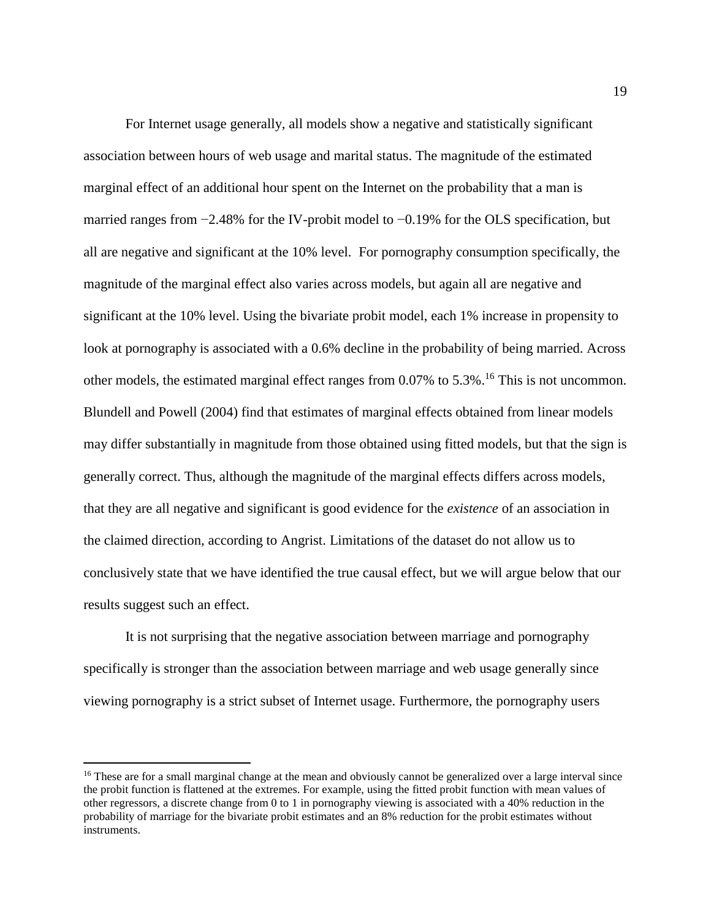For Internet usage generally, all models show a negative and statistically significant association between hours of web usage and marital status. The magnitude of the estimated marginal effect of an additional hour spent on the Internet on the probability that a man is married ranges from −2.48% for the IV-probit model to −0.19% for the OLS specification, but all are negative and significant at the 10% level. For pornography consumption specifically, the magnitude of the marginal effect also varies across models, but again all are negative and significant at the 10% level. Using the bivariate probit model, each 1% increase in propensity to look at pornography is associated with a 0.6% decline in the probability of being married. Across other models, the estimated marginal effect ranges from 0.07% to 5.3%.<sup>16</sup> This is not uncommon. Blundell and Powell (2004) find that estimates of marginal effects obtained from linear models may differ substantially in magnitude from those obtained using fitted models, but that the sign is generally correct. Thus, although the magnitude of the marginal effects differs across models, that they are all negative and significant is good evidence for the *existence* of an association in the claimed direction, according to Angrist. Limitations of the dataset do not allow us to conclusively state that we have identified the true causal effect, but we will argue below that our results suggest such an effect.

It is not surprising that the negative association between marriage and pornography specifically is stronger than the association between marriage and web usage generally since viewing pornography is a strict subset of Internet usage. Furthermore, the pornography users

<sup>&</sup>lt;sup>16</sup> These are for a small marginal change at the mean and obviously cannot be generalized over a large interval since the probit function is flattened at the extremes. For example, using the fitted probit function with mean values of other regressors, a discrete change from 0 to 1 in pornography viewing is associated with a 40% reduction in the probability of marriage for the bivariate probit estimates and an 8% reduction for the probit estimates without instruments.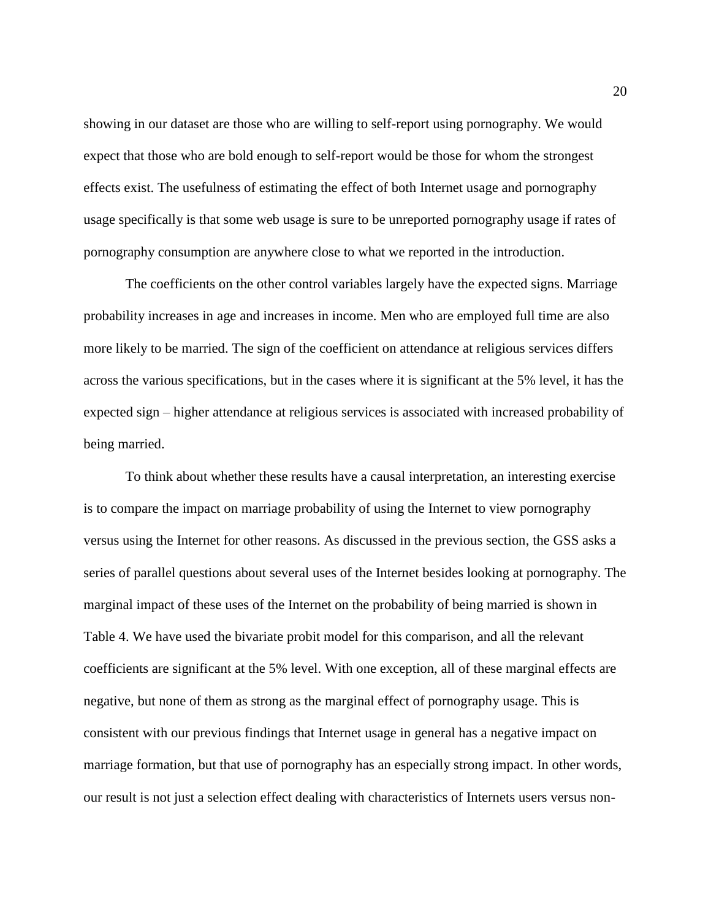showing in our dataset are those who are willing to self-report using pornography. We would expect that those who are bold enough to self-report would be those for whom the strongest effects exist. The usefulness of estimating the effect of both Internet usage and pornography usage specifically is that some web usage is sure to be unreported pornography usage if rates of pornography consumption are anywhere close to what we reported in the introduction.

The coefficients on the other control variables largely have the expected signs. Marriage probability increases in age and increases in income. Men who are employed full time are also more likely to be married. The sign of the coefficient on attendance at religious services differs across the various specifications, but in the cases where it is significant at the 5% level, it has the expected sign – higher attendance at religious services is associated with increased probability of being married.

To think about whether these results have a causal interpretation, an interesting exercise is to compare the impact on marriage probability of using the Internet to view pornography versus using the Internet for other reasons. As discussed in the previous section, the GSS asks a series of parallel questions about several uses of the Internet besides looking at pornography. The marginal impact of these uses of the Internet on the probability of being married is shown in Table 4. We have used the bivariate probit model for this comparison, and all the relevant coefficients are significant at the 5% level. With one exception, all of these marginal effects are negative, but none of them as strong as the marginal effect of pornography usage. This is consistent with our previous findings that Internet usage in general has a negative impact on marriage formation, but that use of pornography has an especially strong impact. In other words, our result is not just a selection effect dealing with characteristics of Internets users versus non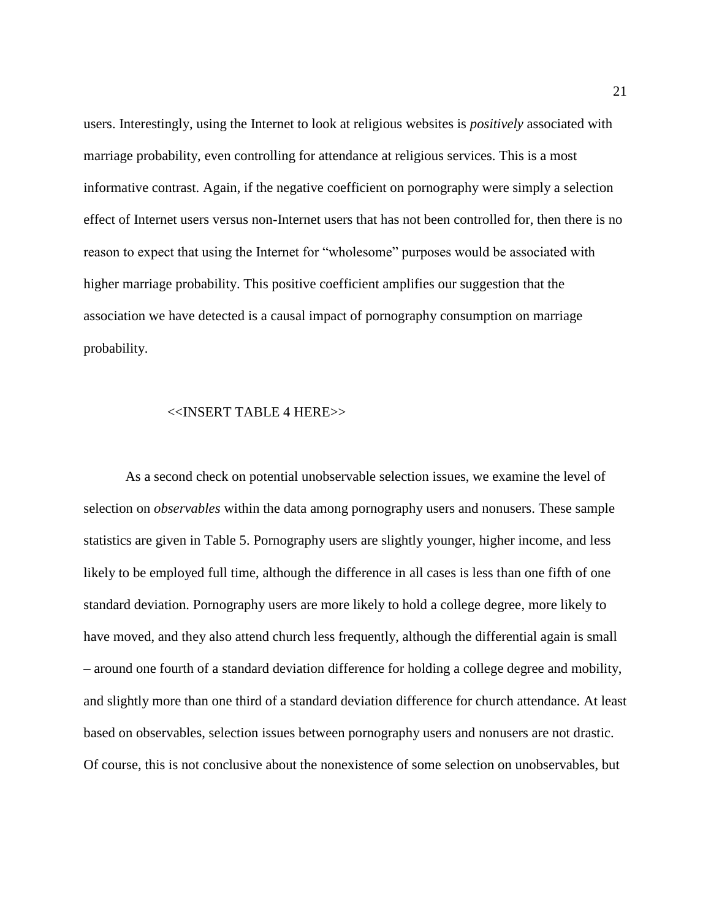users. Interestingly, using the Internet to look at religious websites is *positively* associated with marriage probability, even controlling for attendance at religious services. This is a most informative contrast. Again, if the negative coefficient on pornography were simply a selection effect of Internet users versus non-Internet users that has not been controlled for, then there is no reason to expect that using the Internet for "wholesome" purposes would be associated with higher marriage probability. This positive coefficient amplifies our suggestion that the association we have detected is a causal impact of pornography consumption on marriage probability.

#### <<INSERT TABLE 4 HERE>>

As a second check on potential unobservable selection issues, we examine the level of selection on *observables* within the data among pornography users and nonusers. These sample statistics are given in Table 5. Pornography users are slightly younger, higher income, and less likely to be employed full time, although the difference in all cases is less than one fifth of one standard deviation. Pornography users are more likely to hold a college degree, more likely to have moved, and they also attend church less frequently, although the differential again is small – around one fourth of a standard deviation difference for holding a college degree and mobility, and slightly more than one third of a standard deviation difference for church attendance. At least based on observables, selection issues between pornography users and nonusers are not drastic. Of course, this is not conclusive about the nonexistence of some selection on unobservables, but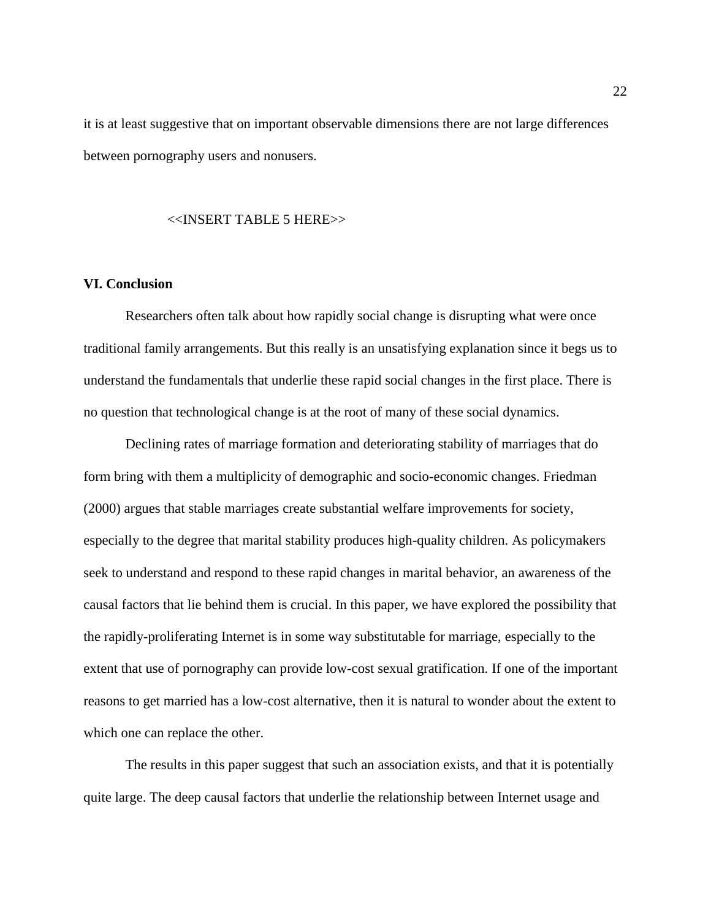it is at least suggestive that on important observable dimensions there are not large differences between pornography users and nonusers.

#### <<INSERT TABLE 5 HERE>>

### **VI. Conclusion**

Researchers often talk about how rapidly social change is disrupting what were once traditional family arrangements. But this really is an unsatisfying explanation since it begs us to understand the fundamentals that underlie these rapid social changes in the first place. There is no question that technological change is at the root of many of these social dynamics.

Declining rates of marriage formation and deteriorating stability of marriages that do form bring with them a multiplicity of demographic and socio-economic changes. Friedman (2000) argues that stable marriages create substantial welfare improvements for society, especially to the degree that marital stability produces high-quality children. As policymakers seek to understand and respond to these rapid changes in marital behavior, an awareness of the causal factors that lie behind them is crucial. In this paper, we have explored the possibility that the rapidly-proliferating Internet is in some way substitutable for marriage, especially to the extent that use of pornography can provide low-cost sexual gratification. If one of the important reasons to get married has a low-cost alternative, then it is natural to wonder about the extent to which one can replace the other.

The results in this paper suggest that such an association exists, and that it is potentially quite large. The deep causal factors that underlie the relationship between Internet usage and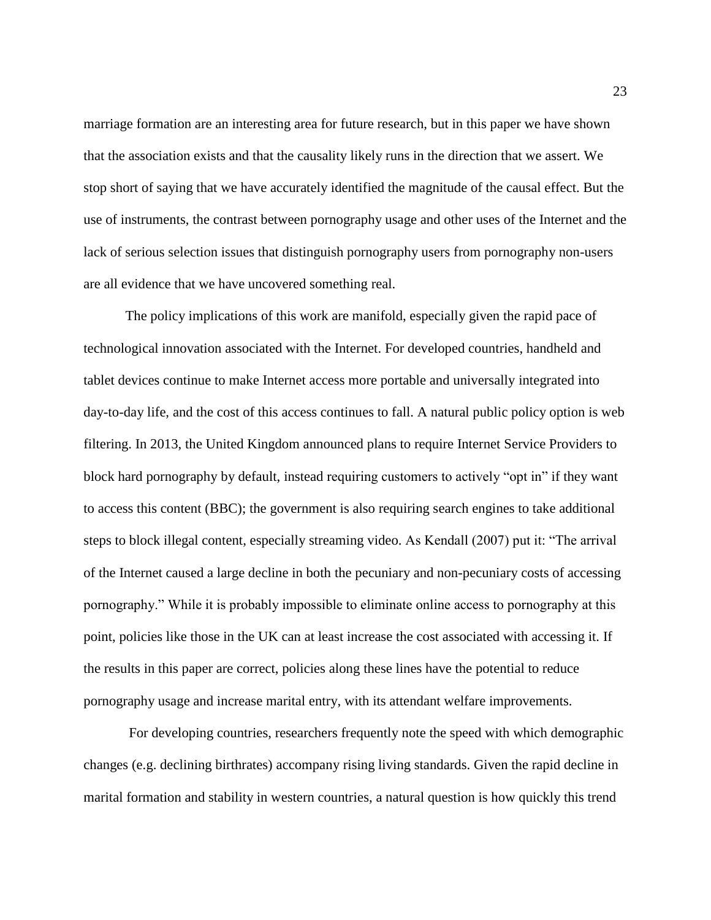marriage formation are an interesting area for future research, but in this paper we have shown that the association exists and that the causality likely runs in the direction that we assert. We stop short of saying that we have accurately identified the magnitude of the causal effect. But the use of instruments, the contrast between pornography usage and other uses of the Internet and the lack of serious selection issues that distinguish pornography users from pornography non-users are all evidence that we have uncovered something real.

The policy implications of this work are manifold, especially given the rapid pace of technological innovation associated with the Internet. For developed countries, handheld and tablet devices continue to make Internet access more portable and universally integrated into day-to-day life, and the cost of this access continues to fall. A natural public policy option is web filtering. In 2013, the United Kingdom announced plans to require Internet Service Providers to block hard pornography by default, instead requiring customers to actively "opt in" if they want to access this content (BBC); the government is also requiring search engines to take additional steps to block illegal content, especially streaming video. As Kendall (2007) put it: "The arrival of the Internet caused a large decline in both the pecuniary and non-pecuniary costs of accessing pornography." While it is probably impossible to eliminate online access to pornography at this point, policies like those in the UK can at least increase the cost associated with accessing it. If the results in this paper are correct, policies along these lines have the potential to reduce pornography usage and increase marital entry, with its attendant welfare improvements.

For developing countries, researchers frequently note the speed with which demographic changes (e.g. declining birthrates) accompany rising living standards. Given the rapid decline in marital formation and stability in western countries, a natural question is how quickly this trend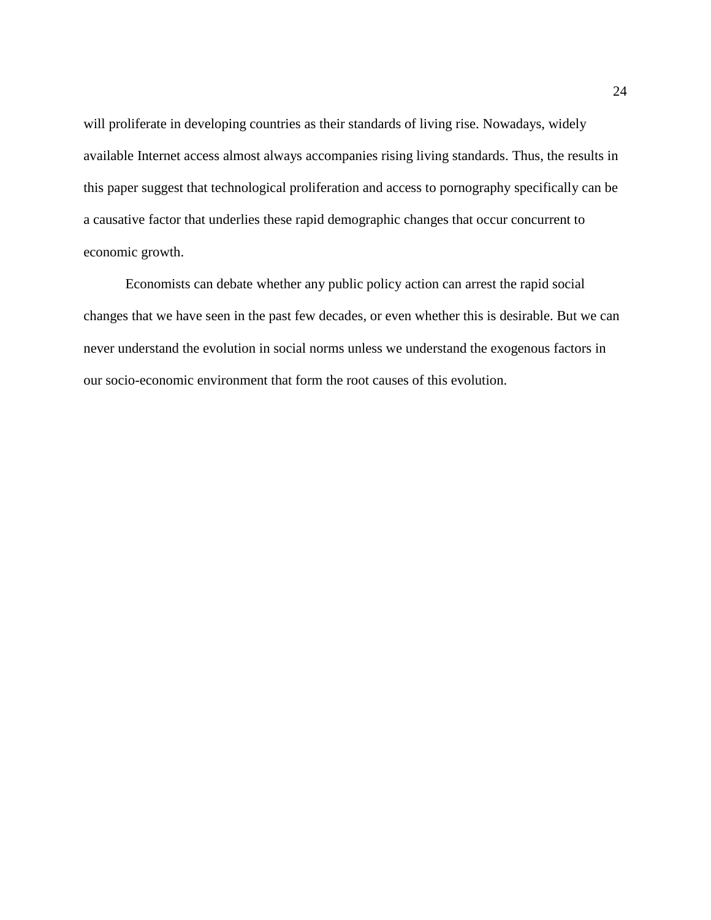will proliferate in developing countries as their standards of living rise. Nowadays, widely available Internet access almost always accompanies rising living standards. Thus, the results in this paper suggest that technological proliferation and access to pornography specifically can be a causative factor that underlies these rapid demographic changes that occur concurrent to economic growth.

Economists can debate whether any public policy action can arrest the rapid social changes that we have seen in the past few decades, or even whether this is desirable. But we can never understand the evolution in social norms unless we understand the exogenous factors in our socio-economic environment that form the root causes of this evolution.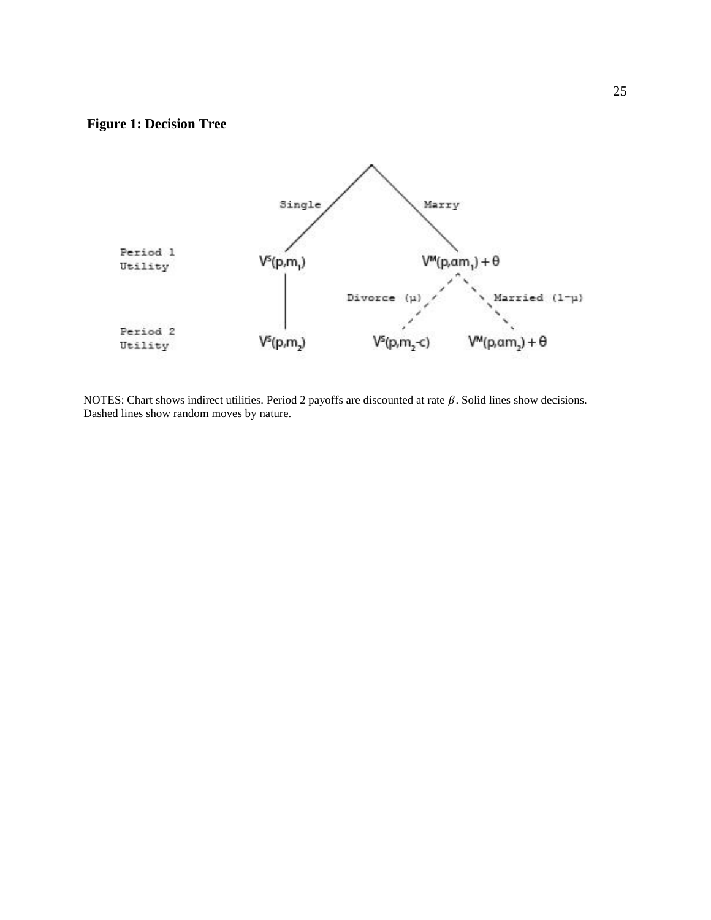### **Figure 1: Decision Tree**



NOTES: Chart shows indirect utilities. Period 2 payoffs are discounted at rate  $\beta$ . Solid lines show decisions. Dashed lines show random moves by nature.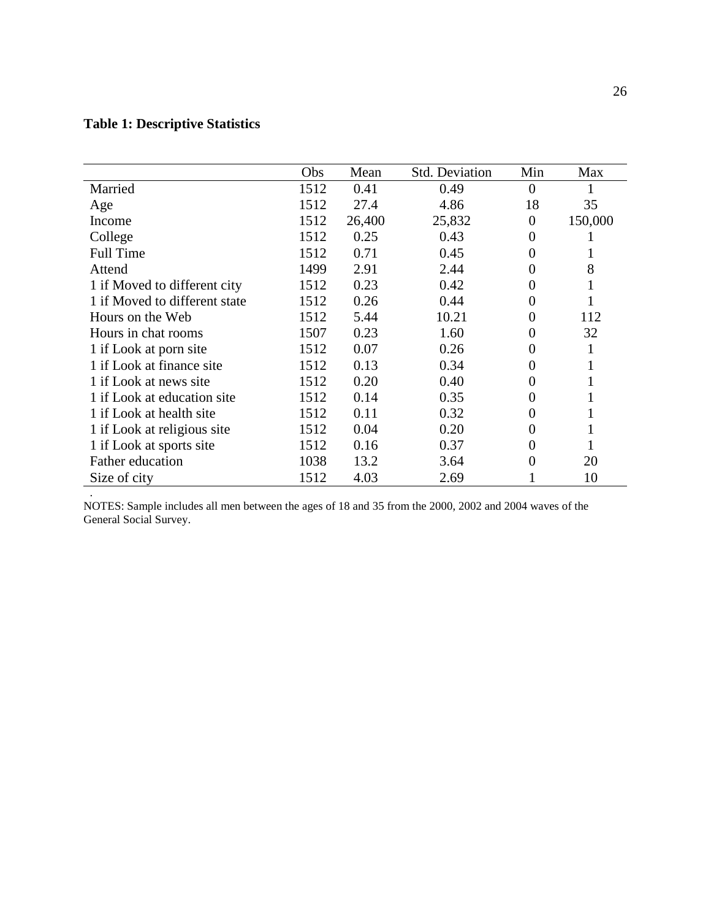# **Table 1: Descriptive Statistics**

|                               | Obs  | Mean   | <b>Std. Deviation</b> | Min            | Max     |
|-------------------------------|------|--------|-----------------------|----------------|---------|
| Married                       | 1512 | 0.41   | 0.49                  | $\overline{0}$ |         |
| Age                           | 1512 | 27.4   | 4.86                  | 18             | 35      |
| Income                        | 1512 | 26,400 | 25,832                | $\overline{0}$ | 150,000 |
| College                       | 1512 | 0.25   | 0.43                  | 0              |         |
| <b>Full Time</b>              | 1512 | 0.71   | 0.45                  | 0              |         |
| Attend                        | 1499 | 2.91   | 2.44                  | 0              | 8       |
| 1 if Moved to different city  | 1512 | 0.23   | 0.42                  | 0              | 1       |
| 1 if Moved to different state | 1512 | 0.26   | 0.44                  | 0              |         |
| Hours on the Web              | 1512 | 5.44   | 10.21                 | 0              | 112     |
| Hours in chat rooms           | 1507 | 0.23   | 1.60                  | 0              | 32      |
| 1 if Look at porn site        | 1512 | 0.07   | 0.26                  | 0              | 1       |
| 1 if Look at finance site     | 1512 | 0.13   | 0.34                  | 0              |         |
| 1 if Look at news site        | 1512 | 0.20   | 0.40                  | 0              |         |
| 1 if Look at education site   | 1512 | 0.14   | 0.35                  | 0              |         |
| 1 if Look at health site      | 1512 | 0.11   | 0.32                  | $\theta$       |         |
| 1 if Look at religious site   | 1512 | 0.04   | 0.20                  | 0              |         |
| 1 if Look at sports site      | 1512 | 0.16   | 0.37                  | 0              |         |
| Father education              | 1038 | 13.2   | 3.64                  | 0              | 20      |
| Size of city                  | 1512 | 4.03   | 2.69                  |                | 10      |
|                               |      |        |                       |                |         |

NOTES: Sample includes all men between the ages of 18 and 35 from the 2000, 2002 and 2004 waves of the General Social Survey.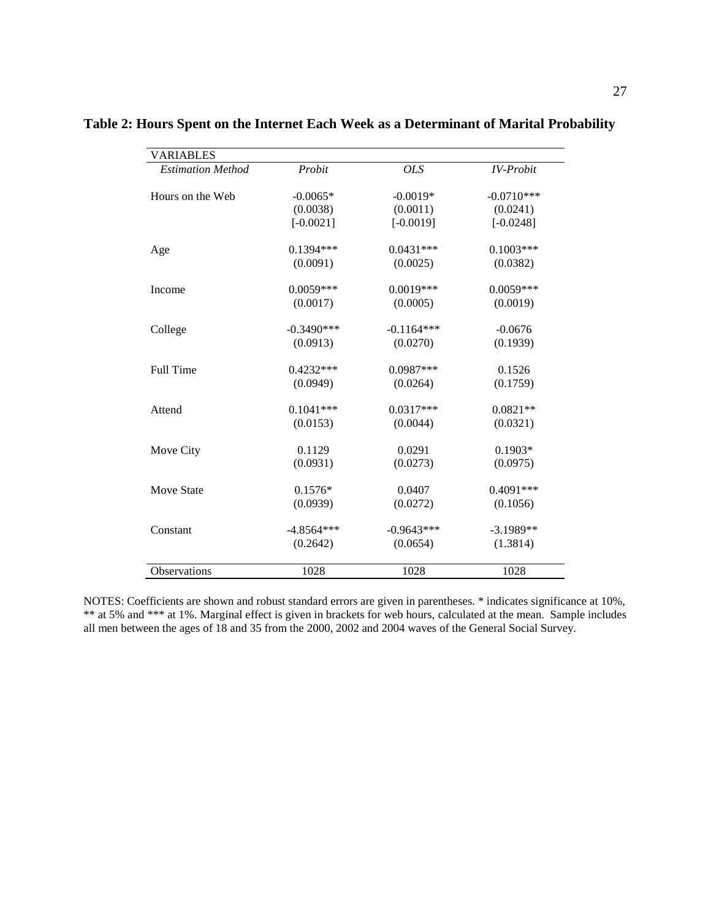| <b>VARIABLES</b>         |              |              |                  |
|--------------------------|--------------|--------------|------------------|
| <b>Estimation Method</b> | Probit       | <b>OLS</b>   | <b>IV-Probit</b> |
| Hours on the Web         | $-0.0065*$   | $-0.0019*$   | $-0.0710***$     |
|                          | (0.0038)     | (0.0011)     | (0.0241)         |
|                          | $[-0.0021]$  | $[-0.0019]$  | $[-0.0248]$      |
| Age                      | $0.1394***$  | $0.0431***$  | $0.1003***$      |
|                          | (0.0091)     | (0.0025)     | (0.0382)         |
| Income                   | $0.0059***$  | $0.0019***$  | $0.0059***$      |
|                          | (0.0017)     | (0.0005)     | (0.0019)         |
| College                  | $-0.3490***$ | $-0.1164***$ | $-0.0676$        |
|                          | (0.0913)     | (0.0270)     | (0.1939)         |
| Full Time                | $0.4232***$  | $0.0987***$  | 0.1526           |
|                          | (0.0949)     | (0.0264)     | (0.1759)         |
| Attend                   | $0.1041***$  | $0.0317***$  | $0.0821**$       |
|                          | (0.0153)     | (0.0044)     | (0.0321)         |
| Move City                | 0.1129       | 0.0291       | $0.1903*$        |
|                          | (0.0931)     | (0.0273)     | (0.0975)         |
| <b>Move State</b>        | $0.1576*$    | 0.0407       | $0.4091***$      |
|                          | (0.0939)     | (0.0272)     | (0.1056)         |
| Constant                 | $-4.8564***$ | $-0.9643***$ | $-3.1989**$      |
|                          | (0.2642)     | (0.0654)     | (1.3814)         |
| Observations             | 1028         | 1028         | 1028             |

### **Table 2: Hours Spent on the Internet Each Week as a Determinant of Marital Probability**

NOTES: Coefficients are shown and robust standard errors are given in parentheses. \* indicates significance at 10%, \*\* at 5% and \*\*\* at 1%. Marginal effect is given in brackets for web hours, calculated at the mean. Sample includes all men between the ages of 18 and 35 from the 2000, 2002 and 2004 waves of the General Social Survey.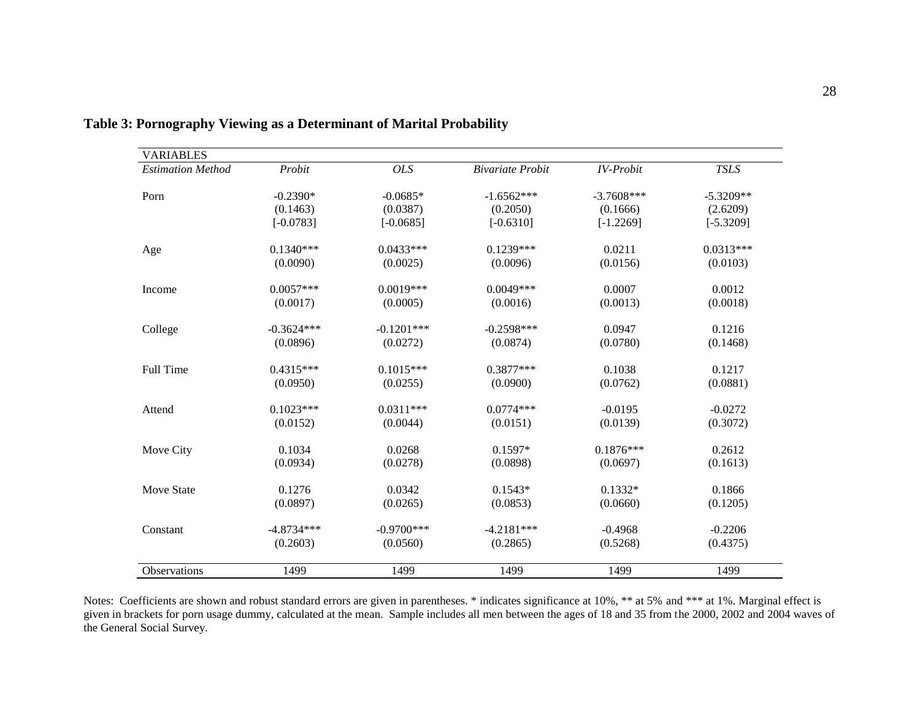| <b>VARIABLES</b>         |              |               |                         |                  |             |
|--------------------------|--------------|---------------|-------------------------|------------------|-------------|
| <b>Estimation Method</b> | Probit       | <b>OLS</b>    | <b>Bivariate Probit</b> | <b>IV-Probit</b> | <b>TSLS</b> |
| Porn                     | $-0.2390*$   | $-0.0685*$    | $-1.6562***$            | $-3.7608***$     | $-5.3209**$ |
|                          | (0.1463)     | (0.0387)      | (0.2050)                | (0.1666)         | (2.6209)    |
|                          | $[-0.0783]$  | $[-0.0685]$   | $[-0.6310]$             | $[-1.2269]$      | $[-5.3209]$ |
| Age                      | $0.1340***$  | $0.0433***$   | $0.1239***$             | 0.0211           | $0.0313***$ |
|                          | (0.0090)     | (0.0025)      | (0.0096)                | (0.0156)         | (0.0103)    |
| Income                   | $0.0057***$  | $0.0019***$   | $0.0049***$             | 0.0007           | 0.0012      |
|                          | (0.0017)     | (0.0005)      | (0.0016)                | (0.0013)         | (0.0018)    |
| College                  | $-0.3624***$ | $-0.1201***$  | $-0.2598***$            | 0.0947           | 0.1216      |
|                          | (0.0896)     | (0.0272)      | (0.0874)                | (0.0780)         | (0.1468)    |
| Full Time                | $0.4315***$  | $0.1015***$   | $0.3877***$             | 0.1038           | 0.1217      |
|                          | (0.0950)     | (0.0255)      | (0.0900)                | (0.0762)         | (0.0881)    |
| Attend                   | $0.1023***$  | $0.0311***$   | $0.0774***$             | $-0.0195$        | $-0.0272$   |
|                          | (0.0152)     | (0.0044)      | (0.0151)                | (0.0139)         | (0.3072)    |
| Move City                | 0.1034       | 0.0268        | $0.1597*$               | $0.1876***$      | 0.2612      |
|                          | (0.0934)     | (0.0278)      | (0.0898)                | (0.0697)         | (0.1613)    |
| Move State               | 0.1276       | 0.0342        | $0.1543*$               | $0.1332*$        | 0.1866      |
|                          | (0.0897)     | (0.0265)      | (0.0853)                | (0.0660)         | (0.1205)    |
| Constant                 | $-4.8734***$ | $-0.9700$ *** | $-4.2181***$            | $-0.4968$        | $-0.2206$   |
|                          | (0.2603)     | (0.0560)      | (0.2865)                | (0.5268)         | (0.4375)    |
| Observations             | 1499         | 1499          | 1499                    | 1499             | 1499        |

**Table 3: Pornography Viewing as a Determinant of Marital Probability**

Notes: Coefficients are shown and robust standard errors are given in parentheses. \* indicates significance at 10%, \*\* at 5% and \*\*\* at 1%. Marginal effect is given in brackets for porn usage dummy, calculated at the mean. Sample includes all men between the ages of 18 and 35 from the 2000, 2002 and 2004 waves of the General Social Survey.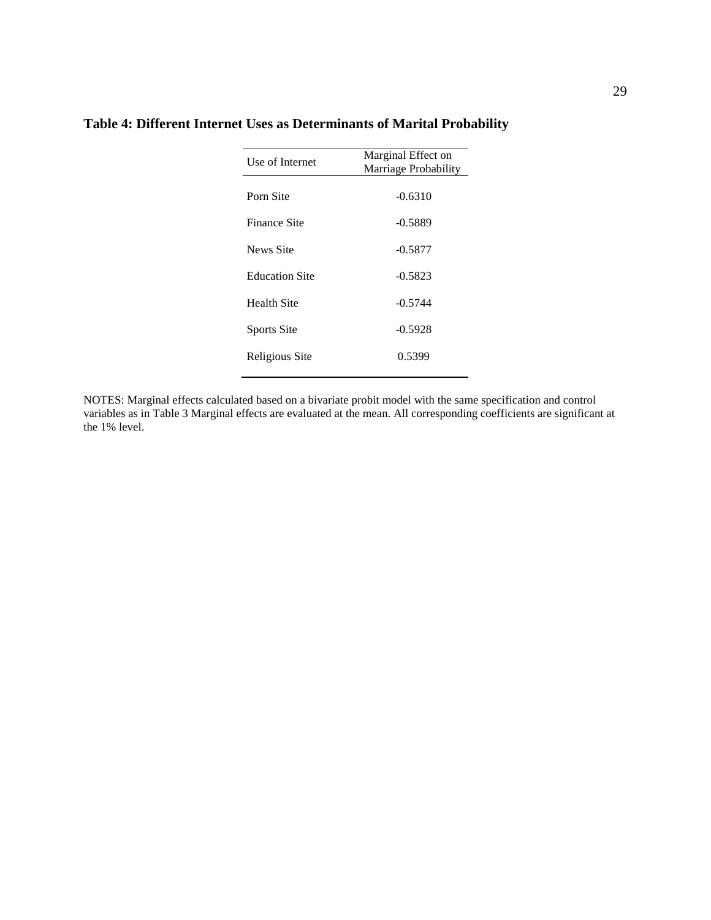| Use of Internet       | Marginal Effect on<br>Marriage Probability |  |  |
|-----------------------|--------------------------------------------|--|--|
| Porn Site             | $-0.6310$                                  |  |  |
| Finance Site          | $-0.5889$                                  |  |  |
| News Site             | $-0.5877$                                  |  |  |
| <b>Education Site</b> | $-0.5823$                                  |  |  |
| <b>Health Site</b>    | $-0.5744$                                  |  |  |
| Sports Site           | $-0.5928$                                  |  |  |
| Religious Site        | 0.5399                                     |  |  |

### **Table 4: Different Internet Uses as Determinants of Marital Probability**

NOTES: Marginal effects calculated based on a bivariate probit model with the same specification and control variables as in Table 3 Marginal effects are evaluated at the mean. All corresponding coefficients are significant at the 1% level.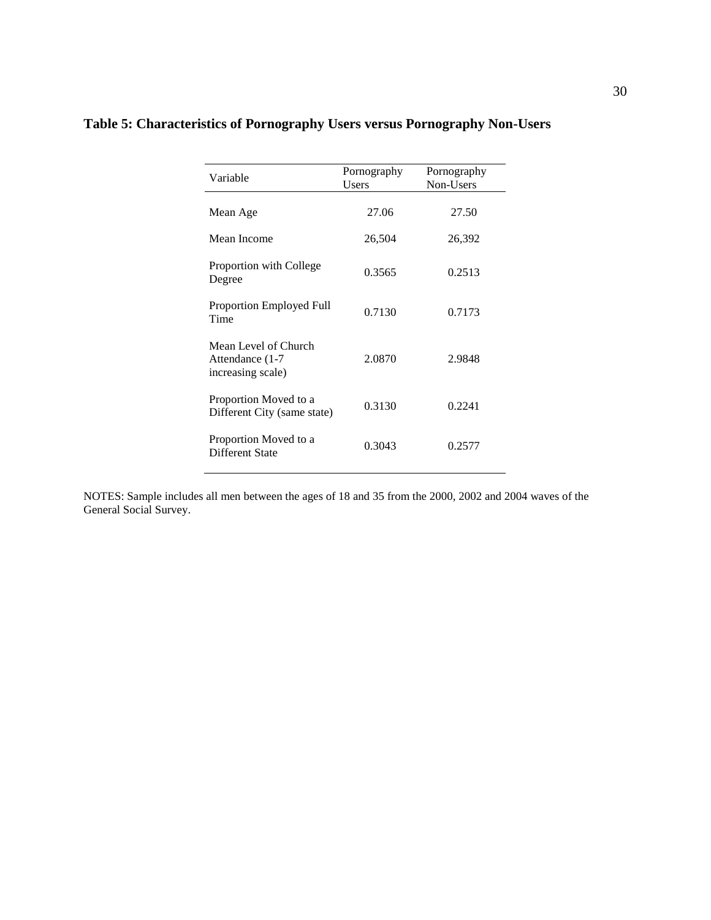| Variable                                                     | Pornography<br>Users | Pornography<br>Non-Users |
|--------------------------------------------------------------|----------------------|--------------------------|
| Mean Age                                                     | 27.06                | 27.50                    |
| Mean Income                                                  | 26,504               | 26,392                   |
| Proportion with College<br>Degree                            | 0.3565               | 0.2513                   |
| Proportion Employed Full<br>Time                             | 0.7130               | 0.7173                   |
| Mean Level of Church<br>Attendance (1-7<br>increasing scale) | 2.0870               | 2.9848                   |
| Proportion Moved to a<br>Different City (same state)         | 0.3130               | 0.2241                   |
| Proportion Moved to a<br>Different State                     | 0.3043               | 0.2577                   |

# **Table 5: Characteristics of Pornography Users versus Pornography Non-Users**

NOTES: Sample includes all men between the ages of 18 and 35 from the 2000, 2002 and 2004 waves of the General Social Survey.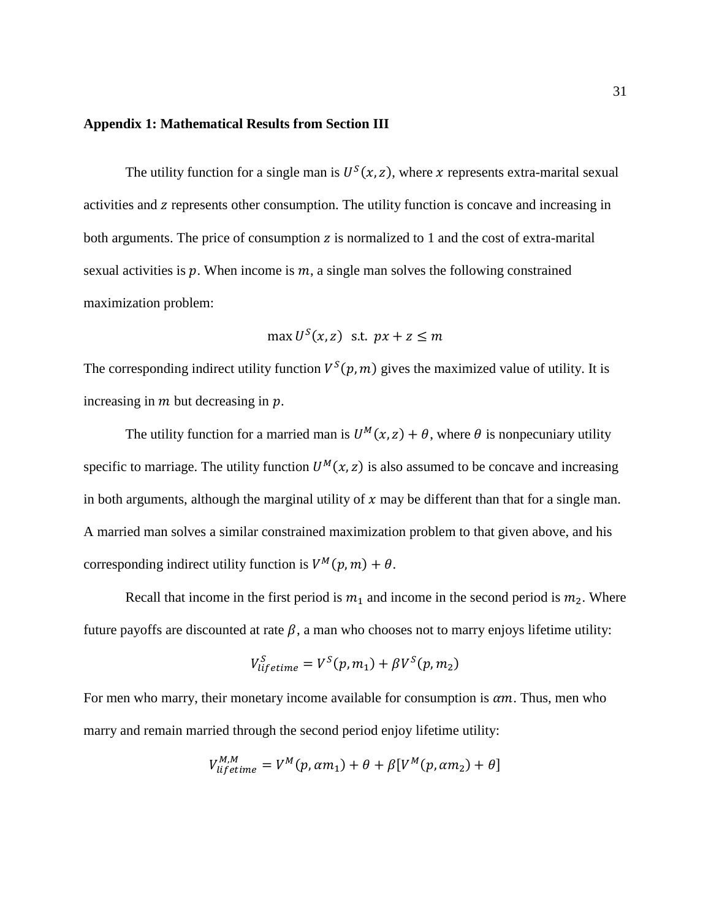### **Appendix 1: Mathematical Results from Section III**

The utility function for a single man is  $U^S(x, z)$ , where x represents extra-marital sexual activities and z represents other consumption. The utility function is concave and increasing in both arguments. The price of consumption  $\overline{z}$  is normalized to 1 and the cost of extra-marital sexual activities is  $p$ . When income is  $m$ , a single man solves the following constrained maximization problem:

$$
\max U^S(x, z) \text{ s.t. } px + z \le m
$$

The corresponding indirect utility function  $V^S(p,m)$  gives the maximized value of utility. It is increasing in  *but decreasing in*  $*p*$ *.* 

The utility function for a married man is  $U^M(x, z) + \theta$ , where  $\theta$  is nonpecuniary utility specific to marriage. The utility function  $U^M(x, z)$  is also assumed to be concave and increasing in both arguments, although the marginal utility of  $x$  may be different than that for a single man. A married man solves a similar constrained maximization problem to that given above, and his corresponding indirect utility function is  $V^M(p,m) + \theta$ .

Recall that income in the first period is  $m_1$  and income in the second period is  $m_2$ . Where future payoffs are discounted at rate  $\beta$ , a man who chooses not to marry enjoys lifetime utility:

$$
V_{lifetime}^S = V^S(p, m_1) + \beta V^S(p, m_2)
$$

For men who marry, their monetary income available for consumption is  $\alpha m$ . Thus, men who marry and remain married through the second period enjoy lifetime utility:

$$
V^{M,M}_{lifetime} = V^M(p, \alpha m_1) + \theta + \beta [V^M(p, \alpha m_2) + \theta]
$$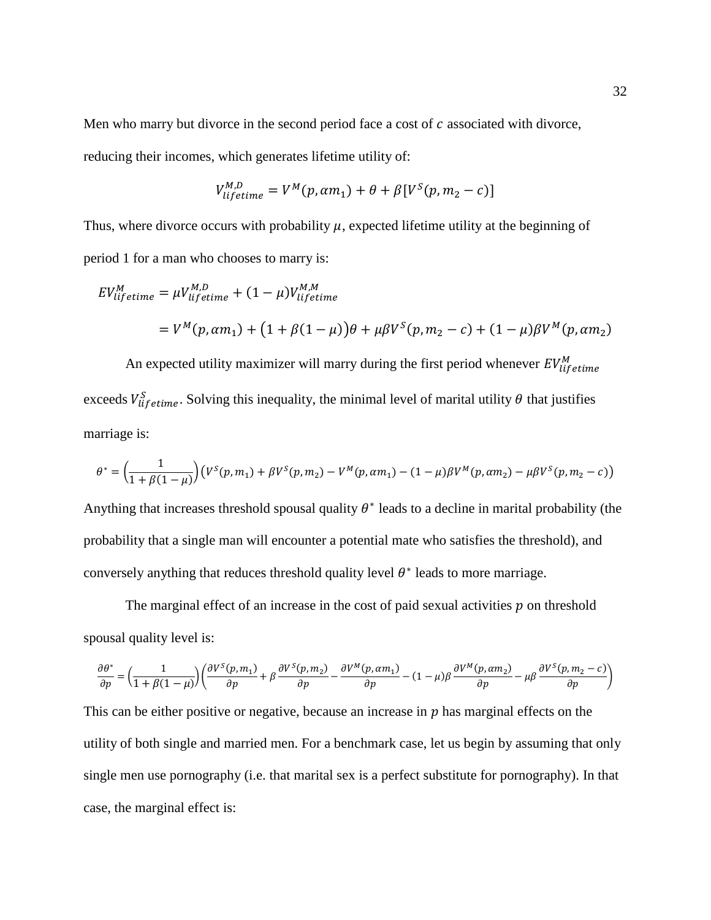Men who marry but divorce in the second period face a cost of  $c$  associated with divorce, reducing their incomes, which generates lifetime utility of:

$$
V^{M,D}_{lifetime}=V^M(p,\alpha m_1)+\theta+\beta[V^S(p,m_2-c)]
$$

Thus, where divorce occurs with probability  $\mu$ , expected lifetime utility at the beginning of period 1 for a man who chooses to marry is:

$$
EV_{lifetime}^{M} = \mu V_{lifetime}^{M,D} + (1 - \mu) V_{lifetime}^{M,M}
$$
  
=  $V^M(p, \alpha m_1) + (1 + \beta(1 - \mu))\theta + \mu \beta V^S(p, m_2 - c) + (1 - \mu)\beta V^M(p, \alpha m_2)$ 

An expected utility maximizer will marry during the first period whenever  $EV_{lifetime}^{M}$ exceeds  $V_{lifetime}^S$ . Solving this inequality, the minimal level of marital utility  $\theta$  that justifies marriage is:

$$
\theta^* = \left(\frac{1}{1+\beta(1-\mu)}\right) \left(V^S(p,m_1) + \beta V^S(p,m_2) - V^M(p,\alpha m_1) - (1-\mu)\beta V^M(p,\alpha m_2) - \mu \beta V^S(p,m_2-c)\right)
$$

Anything that increases threshold spousal quality  $\theta^*$  leads to a decline in marital probability (the probability that a single man will encounter a potential mate who satisfies the threshold), and conversely anything that reduces threshold quality level  $\theta^*$  leads to more marriage.

The marginal effect of an increase in the cost of paid sexual activities  $p$  on threshold spousal quality level is:

$$
\frac{\partial \theta^*}{\partial p} = \left(\frac{1}{1 + \beta(1 - \mu)}\right) \left(\frac{\partial V^S(p, m_1)}{\partial p} + \beta \frac{\partial V^S(p, m_2)}{\partial p} - \frac{\partial V^M(p, \alpha m_1)}{\partial p} - (1 - \mu)\beta \frac{\partial V^M(p, \alpha m_2)}{\partial p} - \mu \beta \frac{\partial V^S(p, m_2 - c)}{\partial p}\right)
$$

This can be either positive or negative, because an increase in  $p$  has marginal effects on the utility of both single and married men. For a benchmark case, let us begin by assuming that only single men use pornography (i.e. that marital sex is a perfect substitute for pornography). In that case, the marginal effect is: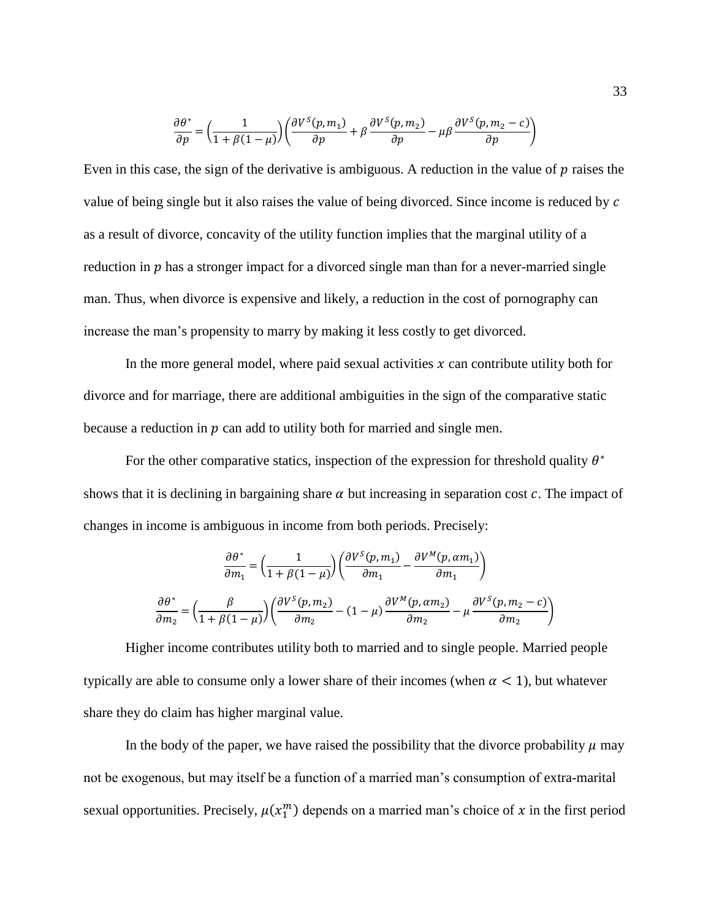$$
\frac{\partial \theta^*}{\partial p} = \left(\frac{1}{1 + \beta(1 - \mu)}\right) \left(\frac{\partial V^S(p, m_1)}{\partial p} + \beta \frac{\partial V^S(p, m_2)}{\partial p} - \mu \beta \frac{\partial V^S(p, m_2 - c)}{\partial p}\right)
$$

Even in this case, the sign of the derivative is ambiguous. A reduction in the value of  $p$  raises the value of being single but it also raises the value of being divorced. Since income is reduced by  $c$ as a result of divorce, concavity of the utility function implies that the marginal utility of a reduction in  $p$  has a stronger impact for a divorced single man than for a never-married single man. Thus, when divorce is expensive and likely, a reduction in the cost of pornography can increase the man's propensity to marry by making it less costly to get divorced.

In the more general model, where paid sexual activities  $x$  can contribute utility both for divorce and for marriage, there are additional ambiguities in the sign of the comparative static because a reduction in  $p$  can add to utility both for married and single men.

For the other comparative statics, inspection of the expression for threshold quality  $\theta^*$ shows that it is declining in bargaining share  $\alpha$  but increasing in separation cost  $\alpha$ . The impact of changes in income is ambiguous in income from both periods. Precisely:

$$
\frac{\partial \theta^*}{\partial m_1} = \left(\frac{1}{1 + \beta(1 - \mu)}\right) \left(\frac{\partial V^S(p, m_1)}{\partial m_1} - \frac{\partial V^M(p, \alpha m_1)}{\partial m_1}\right)
$$

$$
\frac{\partial \theta^*}{\partial m_2} = \left(\frac{\beta}{1 + \beta(1 - \mu)}\right) \left(\frac{\partial V^S(p, m_2)}{\partial m_2} - (1 - \mu)\frac{\partial V^M(p, \alpha m_2)}{\partial m_2} - \mu \frac{\partial V^S(p, m_2 - c)}{\partial m_2}\right)
$$

Higher income contributes utility both to married and to single people. Married people typically are able to consume only a lower share of their incomes (when  $\alpha < 1$ ), but whatever share they do claim has higher marginal value.

In the body of the paper, we have raised the possibility that the divorce probability  $\mu$  may not be exogenous, but may itself be a function of a married man's consumption of extra-marital sexual opportunities. Precisely,  $\mu(x_1^m)$  depends on a married man's choice of x in the first period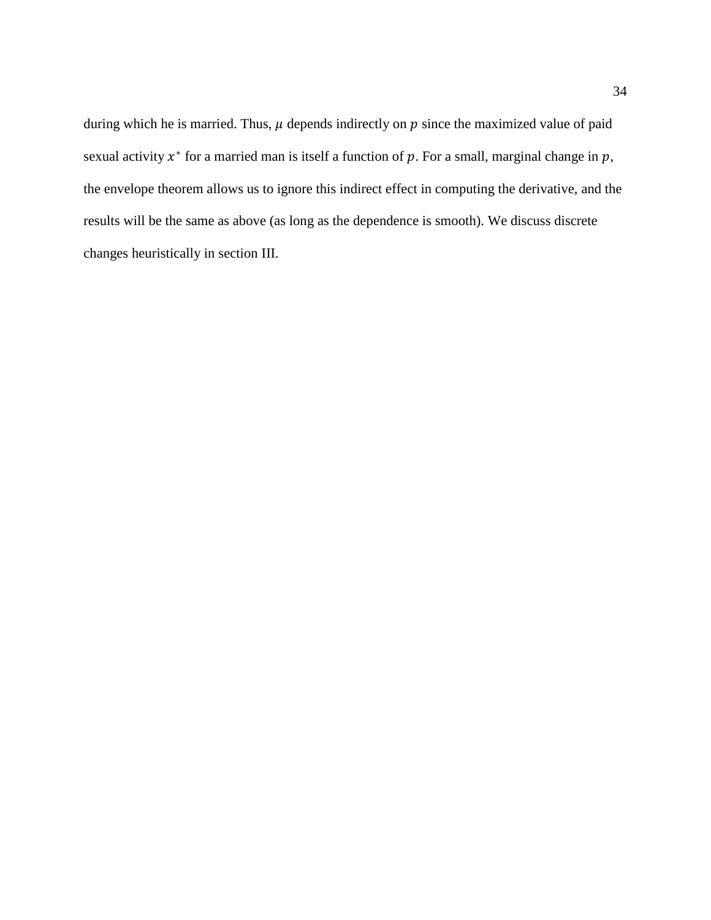during which he is married. Thus,  $\mu$  depends indirectly on  $p$  since the maximized value of paid sexual activity  $x^*$  for a married man is itself a function of p. For a small, marginal change in p, the envelope theorem allows us to ignore this indirect effect in computing the derivative, and the results will be the same as above (as long as the dependence is smooth). We discuss discrete changes heuristically in section III.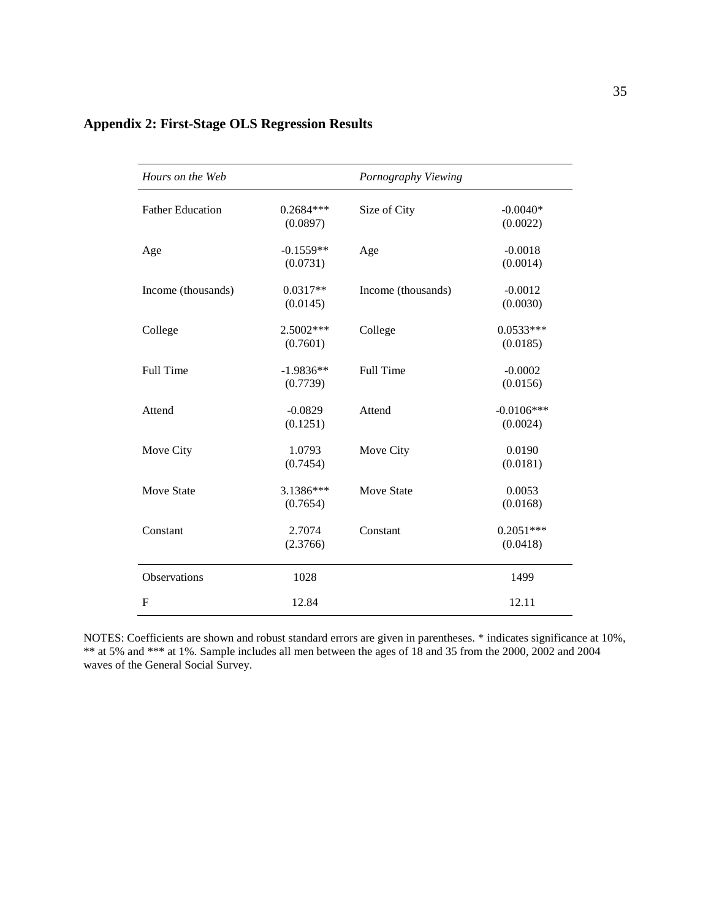| Hours on the Web        |                         | Pornography Viewing |                          |
|-------------------------|-------------------------|---------------------|--------------------------|
| <b>Father Education</b> | $0.2684***$<br>(0.0897) | Size of City        | $-0.0040*$<br>(0.0022)   |
| Age                     | $-0.1559**$<br>(0.0731) | Age                 | $-0.0018$<br>(0.0014)    |
| Income (thousands)      | $0.0317**$<br>(0.0145)  | Income (thousands)  | $-0.0012$<br>(0.0030)    |
| College                 | 2.5002***<br>(0.7601)   | College             | $0.0533***$<br>(0.0185)  |
| <b>Full Time</b>        | $-1.9836**$<br>(0.7739) | Full Time           | $-0.0002$<br>(0.0156)    |
| Attend                  | $-0.0829$<br>(0.1251)   | Attend              | $-0.0106***$<br>(0.0024) |
| Move City               | 1.0793<br>(0.7454)      | Move City           | 0.0190<br>(0.0181)       |
| <b>Move State</b>       | 3.1386***<br>(0.7654)   | Move State          | 0.0053<br>(0.0168)       |
| Constant                | 2.7074<br>(2.3766)      | Constant            | $0.2051***$<br>(0.0418)  |
| Observations            | 1028                    |                     | 1499                     |
| $\mathbf F$             | 12.84                   |                     | 12.11                    |

### **Appendix 2: First-Stage OLS Regression Results**

NOTES: Coefficients are shown and robust standard errors are given in parentheses. \* indicates significance at 10%, \*\* at 5% and \*\*\* at 1%. Sample includes all men between the ages of 18 and 35 from the 2000, 2002 and 2004 waves of the General Social Survey.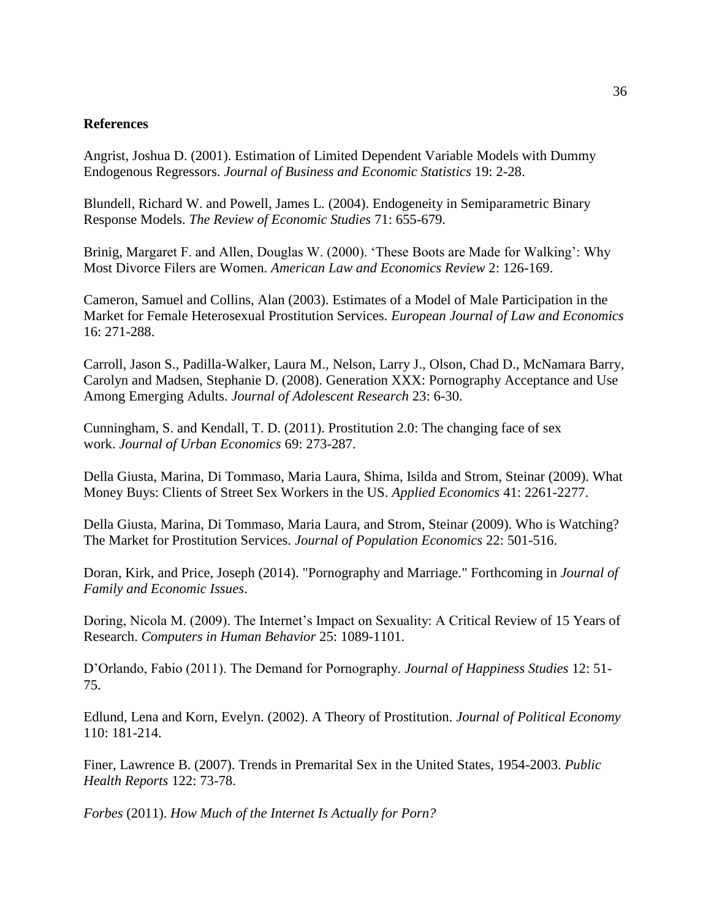### **References**

Angrist, Joshua D. (2001). Estimation of Limited Dependent Variable Models with Dummy Endogenous Regressors. *Journal of Business and Economic Statistics* 19: 2-28.

Blundell, Richard W. and Powell, James L. (2004). Endogeneity in Semiparametric Binary Response Models. *The Review of Economic Studies* 71: 655-679.

Brinig, Margaret F. and Allen, Douglas W. (2000). 'These Boots are Made for Walking': Why Most Divorce Filers are Women. *American Law and Economics Review* 2: 126-169.

Cameron, Samuel and Collins, Alan (2003). Estimates of a Model of Male Participation in the Market for Female Heterosexual Prostitution Services. *European Journal of Law and Economics* 16: 271-288.

Carroll, Jason S., Padilla-Walker, Laura M., Nelson, Larry J., Olson, Chad D., McNamara Barry, Carolyn and Madsen, Stephanie D. (2008). Generation XXX: Pornography Acceptance and Use Among Emerging Adults. *Journal of Adolescent Research* 23: 6-30.

Cunningham, S. and Kendall, T. D. (2011). Prostitution 2.0: The changing face of sex work. *Journal of Urban Economics* 69: 273-287.

Della Giusta, Marina, Di Tommaso, Maria Laura, Shima, Isilda and Strom, Steinar (2009). What Money Buys: Clients of Street Sex Workers in the US. *Applied Economics* 41: 2261-2277.

Della Giusta, Marina, Di Tommaso, Maria Laura, and Strom, Steinar (2009). Who is Watching? The Market for Prostitution Services. *Journal of Population Economics* 22: 501-516.

Doran, Kirk, and Price, Joseph (2014). "Pornography and Marriage." Forthcoming in *Journal of Family and Economic Issues*.

Doring, Nicola M. (2009). The Internet's Impact on Sexuality: A Critical Review of 15 Years of Research. *Computers in Human Behavior* 25: 1089-1101.

D'Orlando, Fabio (2011). The Demand for Pornography. *Journal of Happiness Studies* 12: 51- 75.

Edlund, Lena and Korn, Evelyn. (2002). A Theory of Prostitution. *Journal of Political Economy* 110: 181-214.

Finer, Lawrence B. (2007). Trends in Premarital Sex in the United States, 1954-2003. *Public Health Reports* 122: 73-78.

*Forbes* (2011). *How Much of the Internet Is Actually for Porn?*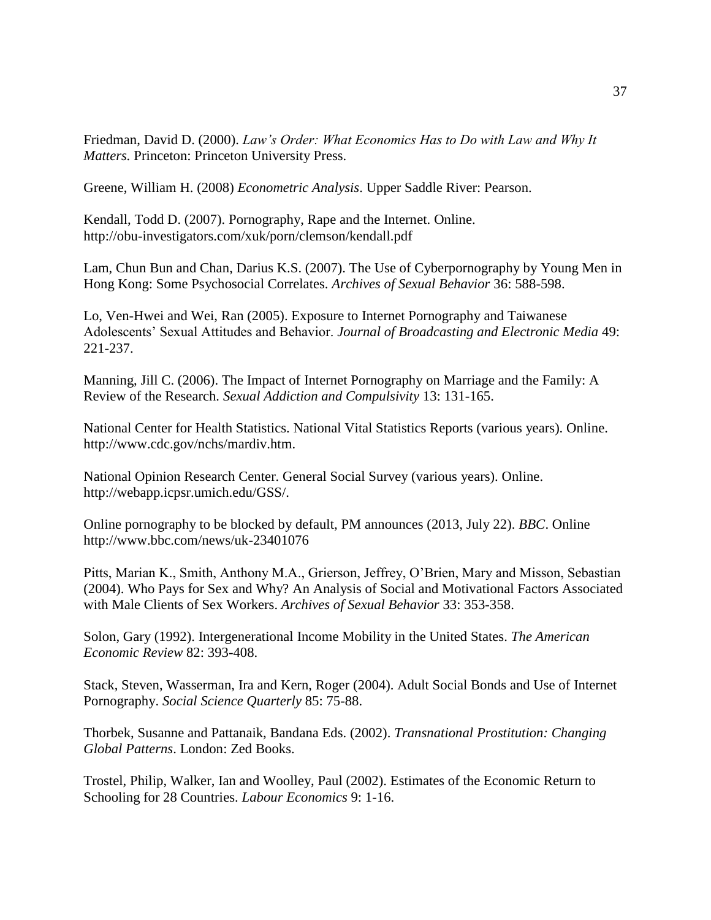Friedman, David D. (2000). *Law's Order: What Economics Has to Do with Law and Why It Matters.* Princeton: Princeton University Press.

Greene, William H. (2008) *Econometric Analysis*. Upper Saddle River: Pearson.

Kendall, Todd D. (2007). Pornography, Rape and the Internet. Online. http://obu-investigators.com/xuk/porn/clemson/kendall.pdf

Lam, Chun Bun and Chan, Darius K.S. (2007). The Use of Cyberpornography by Young Men in Hong Kong: Some Psychosocial Correlates. *Archives of Sexual Behavior* 36: 588-598.

Lo, Ven-Hwei and Wei, Ran (2005). Exposure to Internet Pornography and Taiwanese Adolescents' Sexual Attitudes and Behavior. *Journal of Broadcasting and Electronic Media* 49: 221-237.

Manning, Jill C. (2006). The Impact of Internet Pornography on Marriage and the Family: A Review of the Research. *Sexual Addiction and Compulsivity* 13: 131-165.

National Center for Health Statistics. National Vital Statistics Reports (various years). Online. http://www.cdc.gov/nchs/mardiv.htm.

National Opinion Research Center. General Social Survey (various years). Online. http://webapp.icpsr.umich.edu/GSS/.

Online pornography to be blocked by default, PM announces (2013, July 22). *BBC*. Online http://www.bbc.com/news/uk-23401076

Pitts, Marian K., Smith, Anthony M.A., Grierson, Jeffrey, O'Brien, Mary and Misson, Sebastian (2004). Who Pays for Sex and Why? An Analysis of Social and Motivational Factors Associated with Male Clients of Sex Workers. *Archives of Sexual Behavior* 33: 353-358.

Solon, Gary (1992). Intergenerational Income Mobility in the United States. *The American Economic Review* 82: 393-408.

Stack, Steven, Wasserman, Ira and Kern, Roger (2004). Adult Social Bonds and Use of Internet Pornography. *Social Science Quarterly* 85: 75-88.

Thorbek, Susanne and Pattanaik, Bandana Eds. (2002). *Transnational Prostitution: Changing Global Patterns*. London: Zed Books.

Trostel, Philip, Walker, Ian and Woolley, Paul (2002). Estimates of the Economic Return to Schooling for 28 Countries. *Labour Economics* 9: 1-16.